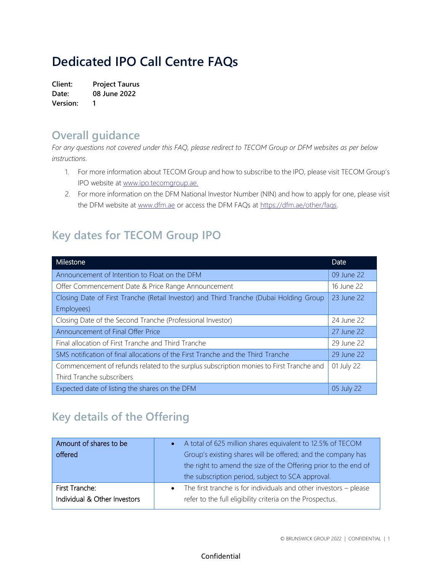# **Dedicated IPO Call Centre FAQs**

| Client:  | <b>Project Taurus</b> |
|----------|-----------------------|
| Date:    | 08 June 2022          |
| Version: | 1                     |

## **Overall guidance**

*For any questions not covered under this FAQ, please redirect to TECOM Group or DFM websites as per below instructions.*

- 1. For more information about TECOM Group and how to subscribe to the IPO, please visit TECOM Group's IPO website at [www.ipo.tecomgroup.ae.](http://www.ipo.tecomgroup.ae/)
- 2. For more information on the DFM National Investor Number (NIN) and how to apply for one, please visit the DFM website at [www.dfm.ae](http://www.dfm.ae/) or access the DFM FAQs at https://dfm.ae/other/faqs.

## **Key dates for TECOM Group IPO**

| Milestone                                                                               | Date       |
|-----------------------------------------------------------------------------------------|------------|
| Announcement of Intention to Float on the DFM                                           | 09 June 22 |
| Offer Commencement Date & Price Range Announcement                                      | 16 June 22 |
| Closing Date of First Tranche (Retail Investor) and Third Tranche (Dubai Holding Group  | 23 June 22 |
| Employees)                                                                              |            |
| Closing Date of the Second Tranche (Professional Investor)                              | 24 June 22 |
| Announcement of Final Offer Price                                                       | 27 June 22 |
| Final allocation of First Tranche and Third Tranche                                     | 29 June 22 |
| SMS notification of final allocations of the First Tranche and the Third Tranche        | 29 June 22 |
| Commencement of refunds related to the surplus subscription monies to First Tranche and | 01 July 22 |
| Third Tranche subscribers                                                               |            |
| Expected date of listing the shares on the DFM                                          | 05 July 22 |

## **Key details of the Offering**

| Amount of shares to be       | A total of 625 million shares equivalent to 12.5% of TECOM<br>$\bullet$          |  |  |  |  |
|------------------------------|----------------------------------------------------------------------------------|--|--|--|--|
| offered                      | Group's existing shares will be offered; and the company has                     |  |  |  |  |
|                              | the right to amend the size of the Offering prior to the end of                  |  |  |  |  |
|                              | the subscription period, subject to SCA approval.                                |  |  |  |  |
| First Tranche:               | The first tranche is for individuals and other investors $-$ please<br>$\bullet$ |  |  |  |  |
| Individual & Other Investors | refer to the full eligibility criteria on the Prospectus.                        |  |  |  |  |
|                              |                                                                                  |  |  |  |  |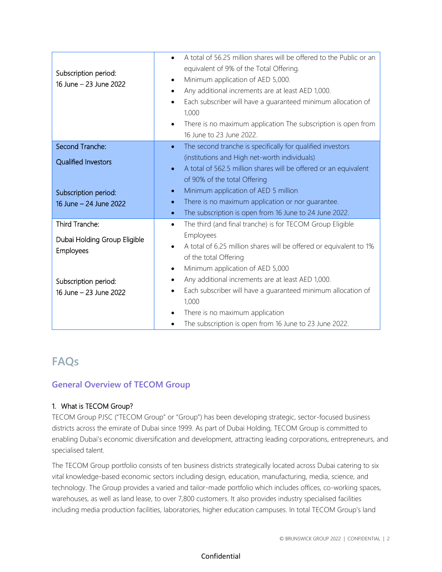| Subscription period:<br>16 June - 23 June 2022 | A total of 56.25 million shares will be offered to the Public or an<br>$\bullet$<br>equivalent of 9% of the Total Offering.<br>Minimum application of AED 5,000.<br>$\bullet$<br>Any additional increments are at least AED 1,000.<br>$\bullet$<br>Each subscriber will have a guaranteed minimum allocation of<br>$\bullet$<br>1,000<br>There is no maximum application The subscription is open from<br>$\bullet$<br>16 June to 23 June 2022. |
|------------------------------------------------|-------------------------------------------------------------------------------------------------------------------------------------------------------------------------------------------------------------------------------------------------------------------------------------------------------------------------------------------------------------------------------------------------------------------------------------------------|
| Second Tranche:                                | The second tranche is specifically for qualified investors<br>$\bullet$                                                                                                                                                                                                                                                                                                                                                                         |
| <b>Qualified Investors</b>                     | (institutions and High net-worth individuals)                                                                                                                                                                                                                                                                                                                                                                                                   |
|                                                | A total of 562.5 million shares will be offered or an equivalent<br>$\bullet$                                                                                                                                                                                                                                                                                                                                                                   |
|                                                | of 90% of the total Offering                                                                                                                                                                                                                                                                                                                                                                                                                    |
| Subscription period:                           | Minimum application of AED 5 million<br>$\bullet$                                                                                                                                                                                                                                                                                                                                                                                               |
| 16 June - 24 June 2022                         | There is no maximum application or nor guarantee.<br>$\bullet$<br>The subscription is open from 16 June to 24 June 2022.<br>$\bullet$                                                                                                                                                                                                                                                                                                           |
| Third Tranche:                                 | The third (and final tranche) is for TECOM Group Eligible<br>$\bullet$                                                                                                                                                                                                                                                                                                                                                                          |
|                                                | Employees                                                                                                                                                                                                                                                                                                                                                                                                                                       |
| Dubai Holding Group Eligible                   | A total of 6.25 million shares will be offered or equivalent to 1%<br>$\bullet$                                                                                                                                                                                                                                                                                                                                                                 |
| Employees                                      | of the total Offering                                                                                                                                                                                                                                                                                                                                                                                                                           |
|                                                | Minimum application of AED 5,000<br>$\bullet$                                                                                                                                                                                                                                                                                                                                                                                                   |
| Subscription period:                           | Any additional increments are at least AED 1,000.<br>$\bullet$                                                                                                                                                                                                                                                                                                                                                                                  |
| 16 June - 23 June 2022                         | Each subscriber will have a guaranteed minimum allocation of                                                                                                                                                                                                                                                                                                                                                                                    |
|                                                | 1,000                                                                                                                                                                                                                                                                                                                                                                                                                                           |
|                                                | There is no maximum application                                                                                                                                                                                                                                                                                                                                                                                                                 |
|                                                | The subscription is open from 16 June to 23 June 2022.                                                                                                                                                                                                                                                                                                                                                                                          |

## **FAQs**

## **General Overview of TECOM Group**

## 1. What is TECOM Group?

TECOM Group PJSC ("TECOM Group" or "Group") has been developing strategic, sector-focused business districts across the emirate of Dubai since 1999. As part of Dubai Holding, TECOM Group is committed to enabling Dubai's economic diversification and development, attracting leading corporations, entrepreneurs, and specialised talent.

The TECOM Group portfolio consists of ten business districts strategically located across Dubai catering to six vital knowledge-based economic sectors including design, education, manufacturing, media, science, and technology. The Group provides a varied and tailor-made portfolio which includes offices, co-working spaces, warehouses, as well as land lease, to over 7,800 customers. It also provides industry specialised facilities including media production facilities, laboratories, higher education campuses. In total TECOM Group's land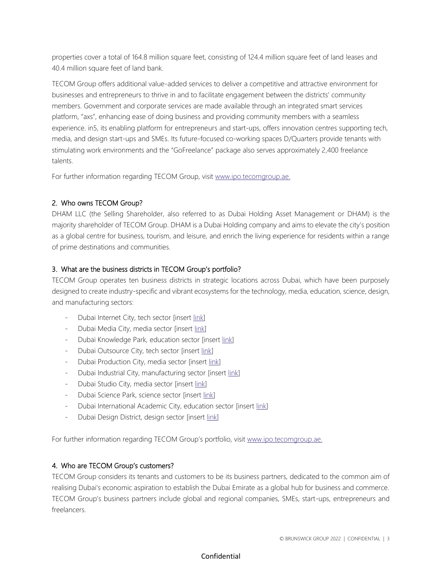properties cover a total of 164.8 million square feet, consisting of 124.4 million square feet of land leases and 40.4 million square feet of land bank.

TECOM Group offers additional value-added services to deliver a competitive and attractive environment for businesses and entrepreneurs to thrive in and to facilitate engagement between the districts' community members. Government and corporate services are made available through an integrated smart services platform, "axs", enhancing ease of doing business and providing community members with a seamless experience. in5, its enabling platform for entrepreneurs and start-ups, offers innovation centres supporting tech, media, and design start-ups and SMEs. Its future-focused co-working spaces D/Quarters provide tenants with stimulating work environments and the "GoFreelance" package also serves approximately 2,400 freelance talents.

For further information regarding TECOM Group, visit [www.ipo.tecomgroup.ae.](http://www.dewa.gov.ae/ipo)

## 2. Who owns TECOM Group?

DHAM LLC (the Selling Shareholder, also referred to as Dubai Holding Asset Management or DHAM) is the majority shareholder of TECOM Group. DHAM is a Dubai Holding company and aims to elevate the city's position as a global centre for business, tourism, and leisure, and enrich the living experience for residents within a range of prime destinations and communities.

## 3. What are the business districts in TECOM Group's portfolio?

TECOM Group operates ten business districts in strategic locations across Dubai, which have been purposely designed to create industry-specific and vibrant ecosystems for the technology, media, education, science, design, and manufacturing sectors:

- Dubai Internet City, tech sector [insert [link\]](https://dic.ae/)
- Dubai Media City, media sector [insert [link\]](https://dmc.ae/)
- Dubai Knowledge Park, education sector [insert [link\]](https://dkp.ae/)
- Dubai Outsource City, tech sector [insert [link\]](https://dubaioutsourcecity.ae/)
- Dubai Production City, media sector [insert [link\]](https://dpc.ae/)
- Dubai Industrial City, manufacturing sector [insert [link\]](https://dubaiindustrialcity.ae/)
- Dubai Studio City, media sector [insert [link\]](https://dubaistudiocity.ae/)
- Dubai Science Park, science sector [insert [link\]](https://dsp.ae/)
- Dubai International Academic City, education sector [insert [link\]](https://diacedu.ae/)
- Dubai Design District, design sector [insert [link\]](https://dubaidesigndistrict.com/)

For further information regarding TECOM Group's portfolio, visit [www.ipo.tecomgroup.ae.](http://www.dewa.gov.ae/ipo)

## 4. Who are TECOM Group's customers?

TECOM Group considers its tenants and customers to be its business partners, dedicated to the common aim of realising Dubai's economic aspiration to establish the Dubai Emirate as a global hub for business and commerce. TECOM Group's business partners include global and regional companies, SMEs, start-ups, entrepreneurs and freelancers.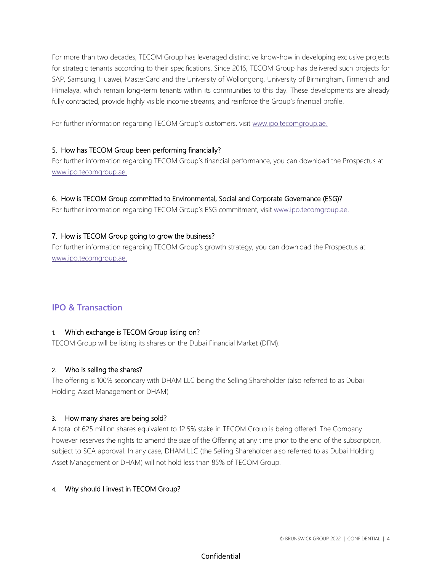For more than two decades, TECOM Group has leveraged distinctive know-how in developing exclusive projects for strategic tenants according to their specifications. Since 2016, TECOM Group has delivered such projects for SAP, Samsung, Huawei, MasterCard and the University of Wollongong, University of Birmingham, Firmenich and Himalaya, which remain long-term tenants within its communities to this day. These developments are already fully contracted, provide highly visible income streams, and reinforce the Group's financial profile.

For further information regarding TECOM Group's customers, visit [www.ipo.tecomgroup.ae.](http://www.dewa.gov.ae/ipo)

## 5. How has TECOM Group been performing financially?

For further information regarding TECOM Group's financial performance, you can download the Prospectus at [www.ipo.tecomgroup.ae.](http://www.dewa.gov.ae/ipo)

## 6. How is TECOM Group committed to Environmental, Social and Corporate Governance (ESG)?

For further information regarding TECOM Group's ESG commitment, visit [www.ipo.tecomgroup.ae.](http://www.dewa.gov.ae/ipo)

#### 7. How is TECOM Group going to grow the business?

For further information regarding TECOM Group's growth strategy, you can download the Prospectus at [www.ipo.tecomgroup.ae.](http://www.dewa.gov.ae/ipo)

## **IPO & Transaction**

#### 1. Which exchange is TECOM Group listing on?

TECOM Group will be listing its shares on the Dubai Financial Market (DFM).

#### 2. Who is selling the shares?

The offering is 100% secondary with DHAM LLC being the Selling Shareholder (also referred to as Dubai Holding Asset Management or DHAM)

#### 3. How many shares are being sold?

A total of 625 million shares equivalent to 12.5% stake in TECOM Group is being offered. The Company however reserves the rights to amend the size of the Offering at any time prior to the end of the subscription, subject to SCA approval. In any case, DHAM LLC (the Selling Shareholder also referred to as Dubai Holding Asset Management or DHAM) will not hold less than 85% of TECOM Group.

## 4. Why should I invest in TECOM Group?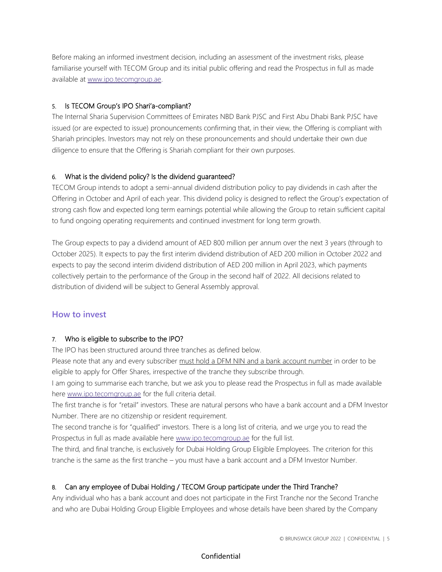Before making an informed investment decision, including an assessment of the investment risks, please familiarise yourself with TECOM Group and its initial public offering and read the Prospectus in full as made available at [www.ipo.tecomgroup.ae.](http://www.dewa.gov.ae/ipo)

#### 5. Is TECOM Group's IPO Shari'a-compliant?

The Internal Sharia Supervision Committees of Emirates NBD Bank PJSC and First Abu Dhabi Bank PJSC have issued (or are expected to issue) pronouncements confirming that, in their view, the Offering is compliant with Shariah principles. Investors may not rely on these pronouncements and should undertake their own due diligence to ensure that the Offering is Shariah compliant for their own purposes.

## 6. What is the dividend policy? Is the dividend guaranteed?

TECOM Group intends to adopt a semi-annual dividend distribution policy to pay dividends in cash after the Offering in October and April of each year. This dividend policy is designed to reflect the Group's expectation of strong cash flow and expected long term earnings potential while allowing the Group to retain sufficient capital to fund ongoing operating requirements and continued investment for long term growth.

The Group expects to pay a dividend amount of AED 800 million per annum over the next 3 years (through to October 2025). It expects to pay the first interim dividend distribution of AED 200 million in October 2022 and expects to pay the second interim dividend distribution of AED 200 million in April 2023, which payments collectively pertain to the performance of the Group in the second half of 2022. All decisions related to distribution of dividend will be subject to General Assembly approval.

## **How to invest**

## 7. Who is eligible to subscribe to the IPO?

The IPO has been structured around three tranches as defined below.

Please note that any and every subscriber must hold a DFM NIN and a bank account number in order to be eligible to apply for Offer Shares, irrespective of the tranche they subscribe through.

I am going to summarise each tranche, but we ask you to please read the Prospectus in full as made available here [www.ipo.tecomgroup.ae](http://www.dewa.gov.ae/ipo) for the full criteria detail.

The first tranche is for "retail" investors. These are natural persons who have a bank account and a DFM Investor Number. There are no citizenship or resident requirement.

The second tranche is for "qualified" investors. There is a long list of criteria, and we urge you to read the Prospectus in full as made available here [www.ipo.tecomgroup.ae](http://www.dewa.gov.ae/ipo) for the full list.

The third, and final tranche, is exclusively for Dubai Holding Group Eligible Employees. The criterion for this tranche is the same as the first tranche – you must have a bank account and a DFM Investor Number.

## 8. Can any employee of Dubai Holding / TECOM Group participate under the Third Tranche?

Any individual who has a bank account and does not participate in the First Tranche nor the Second Tranche and who are Dubai Holding Group Eligible Employees and whose details have been shared by the Company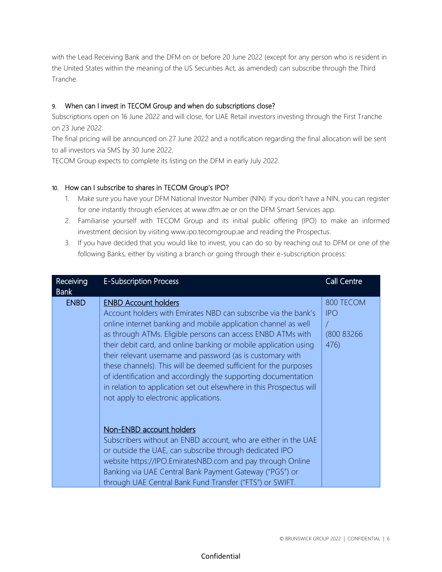with the Lead Receiving Bank and the DFM on or before 20 June 2022 (except for any person who is resident in the United States within the meaning of the US Securities Act, as amended) can subscribe through the Third Tranche.

## 9. When can I invest in TECOM Group and when do subscriptions close?

Subscriptions open on 16 June 2022 and will close, for UAE Retail investors investing through the First Tranche on 23 June 2022.

The final pricing will be announced on 27 June 2022 and a notification regarding the final allocation will be sent to all investors via SMS by 30 June 2022.

TECOM Group expects to complete its listing on the DFM in early July 2022.

## 10. How can I subscribe to shares in TECOM Group's IPO?

- 1. Make sure you have your DFM National Investor Number (NIN). If you don't have a NIN, you can register for one instantly through eServices at www.dfm.ae or on the DFM Smart Services app.
- 2. Familiarise yourself with TECOM Group and its initial public offering (IPO) to make an informed investment decision by visiting www.ipo.tecomgroup.ae and reading the Prospectus.
- 3. If you have decided that you would like to invest, you can do so by reaching out to DFM or one of the following Banks, either by visiting a branch or going through their e-subscription process:

| <b>Receiving</b><br><b>Bank</b> | <b>E-Subscription Process</b>                                                                                                                                                                                                                                                                                                                                                                                                                                                                                                                                                                                           | Call Centre                                   |
|---------------------------------|-------------------------------------------------------------------------------------------------------------------------------------------------------------------------------------------------------------------------------------------------------------------------------------------------------------------------------------------------------------------------------------------------------------------------------------------------------------------------------------------------------------------------------------------------------------------------------------------------------------------------|-----------------------------------------------|
| <b>ENBD</b>                     | <b>ENBD Account holders</b><br>Account holders with Emirates NBD can subscribe via the bank's<br>online internet banking and mobile application channel as well<br>as through ATMs. Eligible persons can access ENBD ATMs with<br>their debit card, and online banking or mobile application using<br>their relevant username and password (as is customary with<br>these channels). This will be deemed sufficient for the purposes<br>of identification and accordingly the supporting documentation<br>in relation to application set out elsewhere in this Prospectus will<br>not apply to electronic applications. | 800 TECOM<br><b>IPO</b><br>(800 83266<br>476) |
|                                 | Non-ENBD account holders<br>Subscribers without an ENBD account, who are either in the UAE<br>or outside the UAE, can subscribe through dedicated IPO<br>website https://IPO.EmiratesNBD.com and pay through Online<br>Banking via UAE Central Bank Payment Gateway ("PGS") or<br>through UAE Central Bank Fund Transfer ("FTS") or SWIFT.                                                                                                                                                                                                                                                                              |                                               |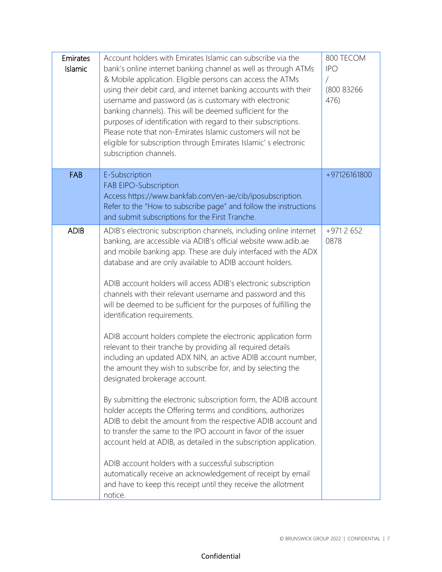| Emirates<br>Islamic | Account holders with Emirates Islamic can subscribe via the<br>bank's online internet banking channel as well as through ATMs<br>& Mobile application. Eligible persons can access the ATMs<br>using their debit card, and internet banking accounts with their<br>username and password (as is customary with electronic<br>banking channels). This will be deemed sufficient for the<br>purposes of identification with regard to their subscriptions.<br>Please note that non-Emirates Islamic customers will not be<br>eligible for subscription through Emirates Islamic's electronic<br>subscription channels.                                                                                                                                                                                                                                                                                                                                                                                                                                                                                                                                                                                                                                                                                                                                         | 800 TECOM<br><b>IPO</b><br>(800 83266<br>476) |
|---------------------|--------------------------------------------------------------------------------------------------------------------------------------------------------------------------------------------------------------------------------------------------------------------------------------------------------------------------------------------------------------------------------------------------------------------------------------------------------------------------------------------------------------------------------------------------------------------------------------------------------------------------------------------------------------------------------------------------------------------------------------------------------------------------------------------------------------------------------------------------------------------------------------------------------------------------------------------------------------------------------------------------------------------------------------------------------------------------------------------------------------------------------------------------------------------------------------------------------------------------------------------------------------------------------------------------------------------------------------------------------------|-----------------------------------------------|
| FAB                 | E-Subscription<br><b>FAB EIPO-Subscription</b><br>Access https://www.bankfab.com/en-ae/cib/iposubscription.<br>Refer to the "How to subscribe page" and follow the instructions<br>and submit subscriptions for the First Tranche.                                                                                                                                                                                                                                                                                                                                                                                                                                                                                                                                                                                                                                                                                                                                                                                                                                                                                                                                                                                                                                                                                                                           | +97126161800                                  |
| <b>ADIB</b>         | ADIB's electronic subscription channels, including online internet<br>banking, are accessible via ADIB's official website www.adib.ae<br>and mobile banking app. These are duly interfaced with the ADX<br>database and are only available to ADIB account holders.<br>ADIB account holders will access ADIB's electronic subscription<br>channels with their relevant username and password and this<br>will be deemed to be sufficient for the purposes of fulfilling the<br>identification requirements.<br>ADIB account holders complete the electronic application form<br>relevant to their tranche by providing all required details<br>including an updated ADX NIN, an active ADIB account number,<br>the amount they wish to subscribe for, and by selecting the<br>designated brokerage account.<br>By submitting the electronic subscription form, the ADIB account<br>holder accepts the Offering terms and conditions, authorizes<br>ADIB to debit the amount from the respective ADIB account and<br>to transfer the same to the IPO account in favor of the issuer<br>account held at ADIB, as detailed in the subscription application.<br>ADIB account holders with a successful subscription<br>automatically receive an acknowledgement of receipt by email<br>and have to keep this receipt until they receive the allotment<br>notice. | +9712652<br>0878                              |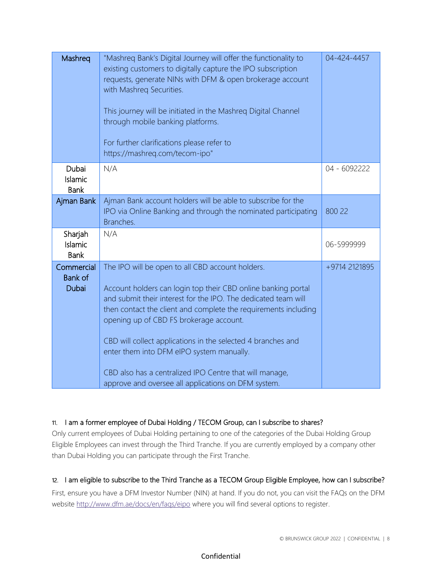| Mashreq                                      | "Mashreq Bank's Digital Journey will offer the functionality to<br>existing customers to digitally capture the IPO subscription<br>requests, generate NINs with DFM & open brokerage account<br>with Mashreq Securities.<br>This journey will be initiated in the Mashreq Digital Channel<br>through mobile banking platforms.<br>For further clarifications please refer to<br>https://mashreq.com/tecom-ipo"                                                                                                                   | 04-424-4457   |
|----------------------------------------------|----------------------------------------------------------------------------------------------------------------------------------------------------------------------------------------------------------------------------------------------------------------------------------------------------------------------------------------------------------------------------------------------------------------------------------------------------------------------------------------------------------------------------------|---------------|
| Dubai<br>Islamic<br><b>Bank</b>              | N/A                                                                                                                                                                                                                                                                                                                                                                                                                                                                                                                              | 04 - 6092222  |
| Ajman Bank                                   | Ajman Bank account holders will be able to subscribe for the<br>IPO via Online Banking and through the nominated participating<br>Branches.                                                                                                                                                                                                                                                                                                                                                                                      | 800 22        |
| Sharjah<br>Islamic<br><b>Bank</b>            | N/A                                                                                                                                                                                                                                                                                                                                                                                                                                                                                                                              | 06-5999999    |
| Commercial<br><b>Bank of</b><br><b>Dubai</b> | The IPO will be open to all CBD account holders.<br>Account holders can login top their CBD online banking portal<br>and submit their interest for the IPO. The dedicated team will<br>then contact the client and complete the requirements including<br>opening up of CBD FS brokerage account.<br>CBD will collect applications in the selected 4 branches and<br>enter them into DFM eIPO system manually.<br>CBD also has a centralized IPO Centre that will manage,<br>approve and oversee all applications on DFM system. | +9714 2121895 |

## 11. I am a former employee of Dubai Holding / TECOM Group, can I subscribe to shares?

Only current employees of Dubai Holding pertaining to one of the categories of the Dubai Holding Group Eligible Employees can invest through the Third Tranche. If you are currently employed by a company other than Dubai Holding you can participate through the First Tranche.

## 12. I am eligible to subscribe to the Third Tranche as a TECOM Group Eligible Employee, how can I subscribe?

First, ensure you have a DFM Investor Number (NIN) at hand. If you do not, you can visit the FAQs on the DFM website<http://www.dfm.ae/docs/en/faqs/eipo> where you will find several options to register.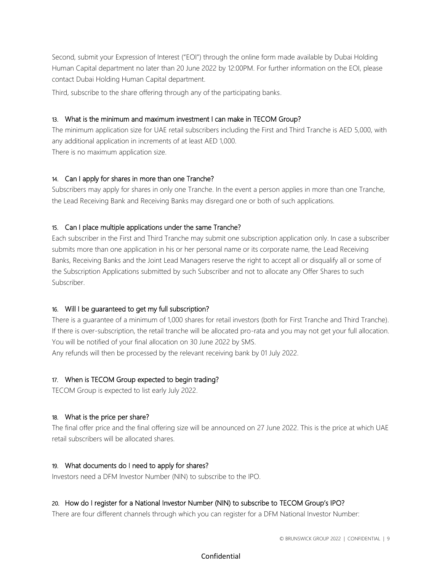Second, submit your Expression of Interest ("EOI") through the online form made available by Dubai Holding Human Capital department no later than 20 June 2022 by 12:00PM. For further information on the EOI, please contact Dubai Holding Human Capital department.

Third, subscribe to the share offering through any of the participating banks.

#### 13. What is the minimum and maximum investment I can make in TECOM Group?

The minimum application size for UAE retail subscribers including the First and Third Tranche is AED 5,000, with any additional application in increments of at least AED 1,000. There is no maximum application size.

## 14. Can I apply for shares in more than one Tranche?

Subscribers may apply for shares in only one Tranche. In the event a person applies in more than one Tranche, the Lead Receiving Bank and Receiving Banks may disregard one or both of such applications.

#### 15. Can I place multiple applications under the same Tranche?

Each subscriber in the First and Third Tranche may submit one subscription application only. In case a subscriber submits more than one application in his or her personal name or its corporate name, the Lead Receiving Banks, Receiving Banks and the Joint Lead Managers reserve the right to accept all or disqualify all or some of the Subscription Applications submitted by such Subscriber and not to allocate any Offer Shares to such Subscriber.

## 16. Will I be guaranteed to get my full subscription?

There is a guarantee of a minimum of 1,000 shares for retail investors (both for First Tranche and Third Tranche). If there is over-subscription, the retail tranche will be allocated pro-rata and you may not get your full allocation. You will be notified of your final allocation on 30 June 2022 by SMS.

Any refunds will then be processed by the relevant receiving bank by 01 July 2022.

#### 17. When is TECOM Group expected to begin trading?

TECOM Group is expected to list early July 2022.

#### 18. What is the price per share?

The final offer price and the final offering size will be announced on 27 June 2022. This is the price at which UAE retail subscribers will be allocated shares.

#### 19. What documents do I need to apply for shares?

Investors need a DFM Investor Number (NIN) to subscribe to the IPO.

## 20. How do I register for a National Investor Number (NIN) to subscribe to TECOM Group's IPO?

There are four different channels through which you can register for a DFM National Investor Number: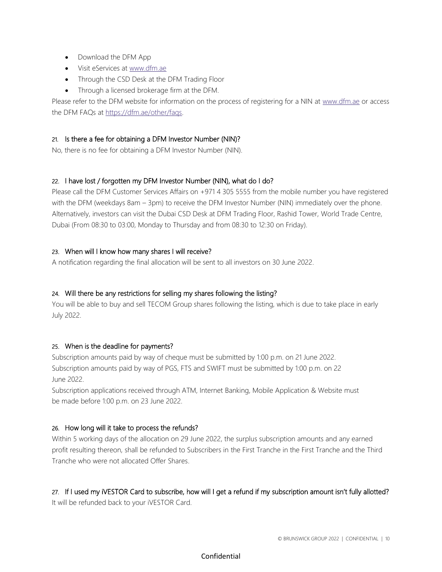- Download the DFM App
- Visit eServices at [www.dfm.ae](http://www.dfm.ae/)
- Through the CSD Desk at the DFM Trading Floor
- Through a licensed brokerage firm at the DFM.

Please refer to the DFM website for information on the process of registering for a NIN at [www.dfm.ae](http://www.dfm.ae/) or access the DFM FAQs at [https://dfm.ae/other/faqs.](https://dfm.ae/other/faqs)

## 21. Is there a fee for obtaining a DFM Investor Number (NIN)?

No, there is no fee for obtaining a DFM Investor Number (NIN).

## 22. I have lost / forgotten my DFM Investor Number (NIN), what do I do?

Please call the DFM Customer Services Affairs on +971 4 305 5555 from the mobile number you have registered with the DFM (weekdays 8am – 3pm) to receive the DFM Investor Number (NIN) immediately over the phone. Alternatively, investors can visit the Dubai CSD Desk at DFM Trading Floor, Rashid Tower, World Trade Centre, Dubai (From 08:30 to 03:00, Monday to Thursday and from 08:30 to 12:30 on Friday).

#### 23. When will I know how many shares I will receive?

A notification regarding the final allocation will be sent to all investors on 30 June 2022.

## 24. Will there be any restrictions for selling my shares following the listing?

You will be able to buy and sell TECOM Group shares following the listing, which is due to take place in early July 2022.

## 25. When is the deadline for payments?

Subscription amounts paid by way of cheque must be submitted by 1:00 p.m. on 21 June 2022. Subscription amounts paid by way of PGS, FTS and SWIFT must be submitted by 1:00 p.m. on 22 June 2022.

Subscription applications received through ATM, Internet Banking, Mobile Application & Website must be made before 1:00 p.m. on 23 June 2022.

## 26. How long will it take to process the refunds?

Within 5 working days of the allocation on 29 June 2022, the surplus subscription amounts and any earned profit resulting thereon, shall be refunded to Subscribers in the First Tranche in the First Tranche and the Third Tranche who were not allocated Offer Shares.

## 27. If I used my iVESTOR Card to subscribe, how will I get a refund if my subscription amount isn't fully allotted?

It will be refunded back to your iVESTOR Card.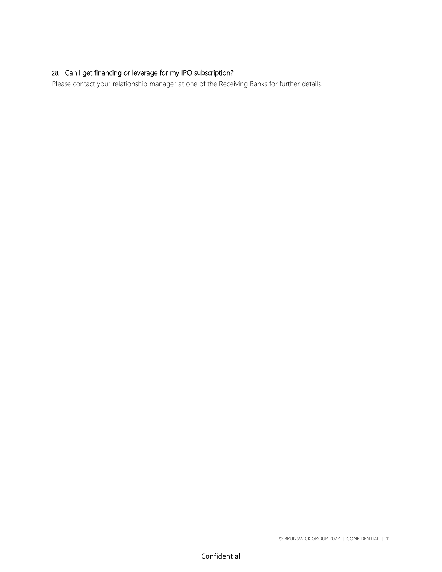## 28. Can I get financing or leverage for my IPO subscription?

Please contact your relationship manager at one of the Receiving Banks for further details.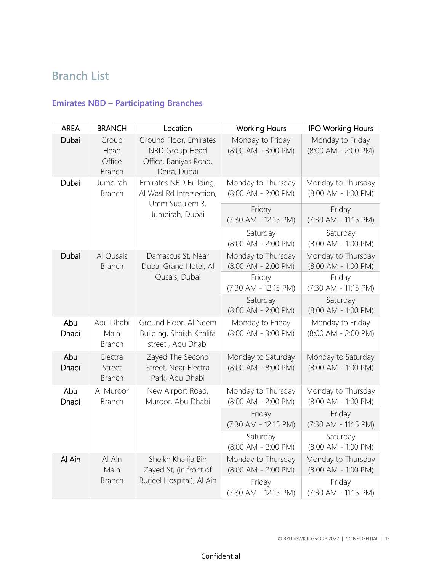## **Branch List**

## **Emirates NBD – Participating Branches**

| <b>AREA</b>  | <b>BRANCH</b>                            | Location                                                                          | <b>Working Hours</b>                          | <b>IPO Working Hours</b>                    |
|--------------|------------------------------------------|-----------------------------------------------------------------------------------|-----------------------------------------------|---------------------------------------------|
| Dubai        | Group<br>Head<br>Office<br><b>Branch</b> | Ground Floor, Emirates<br>NBD Group Head<br>Office, Baniyas Road,<br>Deira, Dubai | Monday to Friday<br>$(8:00$ AM - 3:00 PM)     | Monday to Friday<br>$(8:00$ AM - 2:00 PM)   |
| Dubai        | Jumeirah<br><b>Branch</b>                | Emirates NBD Building,<br>Al Wasl Rd Intersection,                                | Monday to Thursday<br>$(8:00$ AM - 2:00 PM)   | Monday to Thursday<br>$(8:00$ AM - 1:00 PM) |
|              |                                          | Umm Suquiem 3,<br>Jumeirah, Dubai                                                 | Friday<br>(7:30 AM - 12:15 PM)                | Friday<br>(7:30 AM - 11:15 PM)              |
|              |                                          |                                                                                   | Saturday<br>$(8:00$ AM - 2:00 PM)             | Saturday<br>$(8:00$ AM - 1:00 PM)           |
| Dubai        | Al Qusais<br><b>Branch</b>               | Damascus St, Near<br>Dubai Grand Hotel, Al                                        | Monday to Thursday<br>$(8:00$ AM - 2:00 PM)   | Monday to Thursday<br>(8:00 AM - 1:00 PM)   |
|              |                                          | Qusais, Dubai                                                                     | Friday<br>(7:30 AM - 12:15 PM)                | Friday<br>(7:30 AM - 11:15 PM)              |
|              |                                          |                                                                                   | Saturday<br>$(8:00$ AM - 2:00 PM)             | Saturday<br>(8:00 AM - 1:00 PM)             |
| Abu<br>Dhabi | Abu Dhabi<br>Main<br><b>Branch</b>       | Ground Floor, Al Neem<br>Building, Shaikh Khalifa<br>street, Abu Dhabi            | Monday to Friday<br>$(8:00$ AM - 3:00 PM)     | Monday to Friday<br>$(8:00$ AM - 2:00 PM)   |
| Abu<br>Dhabi | Electra<br>Street<br><b>Branch</b>       | Zayed The Second<br>Street, Near Electra<br>Park, Abu Dhabi                       | Monday to Saturday<br>$(8:00$ AM - $8:00$ PM) | Monday to Saturday<br>$(8:00$ AM - 1:00 PM) |
| Abu<br>Dhabi | Al Muroor<br><b>Branch</b>               | New Airport Road,<br>Muroor, Abu Dhabi                                            | Monday to Thursday<br>$(8:00$ AM - 2:00 PM)   | Monday to Thursday<br>(8:00 AM - 1:00 PM)   |
|              |                                          |                                                                                   | Friday<br>(7:30 AM - 12:15 PM)                | Friday<br>(7:30 AM - 11:15 PM)              |
|              |                                          |                                                                                   | Saturday<br>$(8:00$ AM - 2:00 PM)             | Saturday<br>(8:00 AM - 1:00 PM)             |
| Al Ain       | Al Ain<br>Main                           | Sheikh Khalifa Bin<br>Zayed St, (in front of                                      | Monday to Thursday<br>(8:00 AM - 2:00 PM)     | Monday to Thursday<br>(8:00 AM - 1:00 PM)   |
|              | <b>Branch</b>                            | Burjeel Hospital), Al Ain                                                         | Friday<br>(7:30 AM - 12:15 PM)                | Friday<br>(7:30 AM - 11:15 PM)              |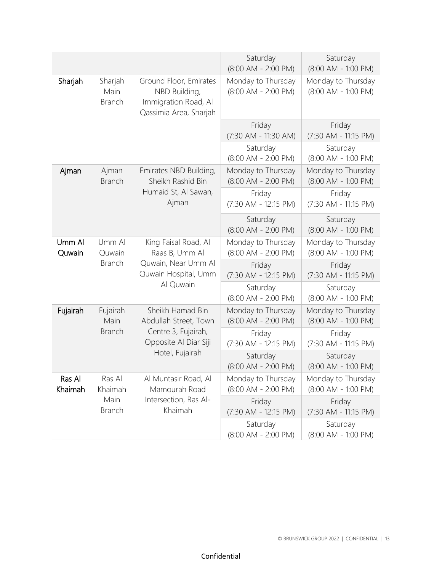|                   |                                                                                                                               |                                             | Saturday<br>$(8:00$ AM - 2:00 PM)           | Saturday<br>(8:00 AM - 1:00 PM)             |
|-------------------|-------------------------------------------------------------------------------------------------------------------------------|---------------------------------------------|---------------------------------------------|---------------------------------------------|
| Sharjah           | Sharjah<br>Ground Floor, Emirates<br>Main<br>NBD Building,<br><b>Branch</b><br>Immigration Road, Al<br>Qassimia Area, Sharjah |                                             | Monday to Thursday<br>$(8:00$ AM - 2:00 PM) | Monday to Thursday<br>$(8:00$ AM - 1:00 PM) |
|                   |                                                                                                                               |                                             | Friday<br>(7:30 AM - 11:30 AM)              | Friday<br>(7:30 AM - 11:15 PM)              |
|                   |                                                                                                                               |                                             | Saturday<br>$(8:00$ AM - 2:00 PM)           | Saturday<br>$(8:00$ AM - 1:00 PM)           |
| Ajman             | Ajman<br><b>Branch</b>                                                                                                        | Emirates NBD Building,<br>Sheikh Rashid Bin | Monday to Thursday<br>$(8.00$ AM - 2:00 PM) | Monday to Thursday<br>$(8:00$ AM - 1:00 PM) |
|                   |                                                                                                                               | Humaid St, Al Sawan,<br>Ajman               | Friday<br>(7:30 AM - 12:15 PM)              | Friday<br>(7:30 AM - 11:15 PM)              |
|                   |                                                                                                                               |                                             | Saturday<br>$(8:00$ AM - 2:00 PM)           | Saturday<br>$(8:00$ AM - 1:00 PM)           |
| Umm Al<br>Quwain  | Umm Al<br>Quwain                                                                                                              | King Faisal Road, Al<br>Raas B, Umm Al      | Monday to Thursday<br>$(8:00$ AM - 2:00 PM) | Monday to Thursday<br>(8:00 AM - 1:00 PM)   |
|                   | <b>Branch</b>                                                                                                                 | Quwain, Near Umm Al<br>Quwain Hospital, Umm | Friday<br>(7:30 AM - 12:15 PM)              | Friday<br>(7:30 AM - 11:15 PM)              |
|                   |                                                                                                                               | Al Quwain                                   | Saturday<br>$(8:00$ AM - 2:00 PM)           | Saturday<br>$(8:00$ AM - 1:00 PM)           |
| Fujairah          | Fujairah<br>Main                                                                                                              | Sheikh Hamad Bin<br>Abdullah Street, Town   | Monday to Thursday<br>$(8:00$ AM - 2:00 PM) | Monday to Thursday<br>$(8:00$ AM - 1:00 PM) |
|                   | <b>Branch</b><br>Centre 3, Fujairah,<br>Opposite Al Diar Siji                                                                 |                                             | Friday<br>(7:30 AM - 12:15 PM)              | Friday<br>(7:30 AM - 11:15 PM)              |
|                   |                                                                                                                               | Hotel, Fujairah                             | Saturday<br>$(8:00$ AM - 2:00 PM)           | Saturday<br>$(8:00$ AM - 1:00 PM)           |
| Ras Al<br>Khaimah | Ras Al<br>Khaimah                                                                                                             | Al Muntasir Road, Al<br>Mamourah Road       | Monday to Thursday<br>$(8:00$ AM - 2:00 PM) | Monday to Thursday<br>$(8:00$ AM - 1:00 PM) |
|                   | Main<br><b>Branch</b>                                                                                                         | Intersection, Ras Al-<br>Khaimah            | Friday<br>$(7:30$ AM - 12:15 PM)            | Friday<br>(7:30 AM - 11:15 PM)              |
|                   |                                                                                                                               |                                             | Saturday<br>$(8:00$ AM - 2:00 PM)           | Saturday<br>(8:00 AM - 1:00 PM)             |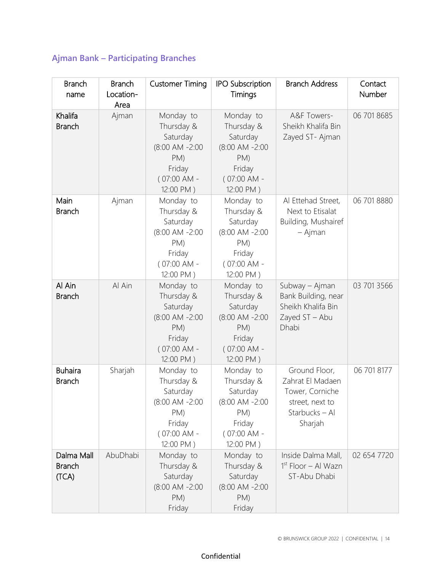## **Ajman Bank – Participating Branches**

| <b>Branch</b><br>name                | <b>Branch</b><br>Location- | <b>Customer Timing</b>                                                                                      | <b>IPO Subscription</b><br>Timings                                                                       | <b>Branch Address</b>                                                                                | Contact<br>Number |
|--------------------------------------|----------------------------|-------------------------------------------------------------------------------------------------------------|----------------------------------------------------------------------------------------------------------|------------------------------------------------------------------------------------------------------|-------------------|
| Khalifa<br><b>Branch</b>             | Area<br>Ajman              | Monday to<br>Thursday &<br>Saturday<br>$(8:00$ AM $-2:00$<br>$PM$ )<br>Friday<br>$(07:00$ AM -<br>12:00 PM) | Monday to<br>Thursday &<br>Saturday<br>$(8:00$ AM $-2:00$<br>PM)<br>Friday<br>$(07:00$ AM -<br>12:00 PM) | A&F Towers-<br>Sheikh Khalifa Bin<br>Zayed ST- Ajman                                                 | 06 701 8685       |
| Main<br><b>Branch</b>                | Ajman                      | Monday to<br>Thursday &<br>Saturday<br>$(8:00$ AM $-2:00$<br>PM)<br>Friday<br>$(07:00$ AM -<br>12:00 PM)    | Monday to<br>Thursday &<br>Saturday<br>$(8:00$ AM $-2:00$<br>PM)<br>Friday<br>$(07:00$ AM -<br>12:00 PM) | Al Ettehad Street,<br>Next to Etisalat<br>Building, Mushairef<br>– Ajman                             | 06 701 8880       |
| Al Ain<br><b>Branch</b>              | Al Ain                     | Monday to<br>Thursday &<br>Saturday<br>$(8:00$ AM $-2:00$<br>$PM$ )<br>Friday<br>$(07:00$ AM -<br>12:00 PM) | Monday to<br>Thursday &<br>Saturday<br>$(8:00$ AM $-2:00$<br>PM)<br>Friday<br>$(07:00$ AM -<br>12:00 PM) | Subway - Ajman<br>Bank Building, near<br>Sheikh Khalifa Bin<br>Zayed ST - Abu<br>Dhabi               | 03 701 3566       |
| <b>Buhaira</b><br><b>Branch</b>      | Sharjah                    | Monday to<br>Thursday &<br>Saturday<br>(8:00 AM -2:00<br>PM)<br>Friday<br>$(07:00$ AM -<br>12:00 PM)        | Monday to<br>Thursday &<br>Saturday<br>$(8:00$ AM $-2:00$<br>PM)<br>Friday<br>$(07:00$ AM -<br>12:00 PM) | Ground Floor,<br>Zahrat El Madaen<br>Tower, Corniche<br>street, next to<br>Starbucks - Al<br>Sharjah | 06 701 8177       |
| Dalma Mall<br><b>Branch</b><br>(TCA) | AbuDhabi                   | Monday to<br>Thursday &<br>Saturday<br>$(8:00$ AM $-2:00$<br>PM)<br>Friday                                  | Monday to<br>Thursday &<br>Saturday<br>(8:00 AM -2:00<br>PM)<br>Friday                                   | Inside Dalma Mall,<br>1 <sup>st</sup> Floor - Al Wazn<br>ST-Abu Dhabi                                | 02 654 7720       |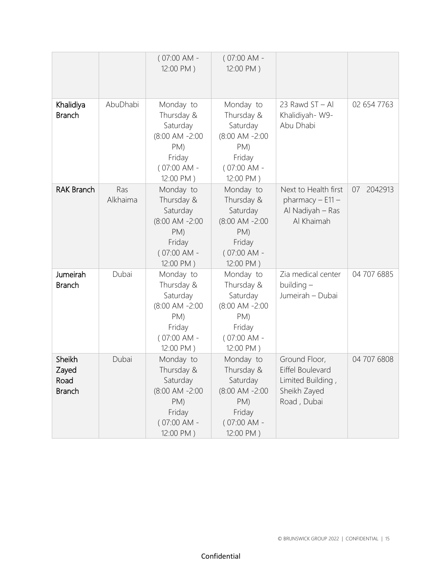|                                          |                 | $(07:00$ AM -<br>12:00 PM)                                                                               | $(07:00$ AM -<br>12:00 PM)                                                                               |                                                                                       |               |
|------------------------------------------|-----------------|----------------------------------------------------------------------------------------------------------|----------------------------------------------------------------------------------------------------------|---------------------------------------------------------------------------------------|---------------|
| Khalidiya<br><b>Branch</b>               | AbuDhabi        | Monday to<br>Thursday &<br>Saturday<br>$(8:00$ AM $-2:00$<br>PM)<br>Friday<br>$(07:00$ AM -<br>12:00 PM) | Monday to<br>Thursday &<br>Saturday<br>$(8:00$ AM $-2:00$<br>PM)<br>Friday<br>$(07:00$ AM -<br>12:00 PM) | 23 Rawd $ST - AI$<br>Khalidiyah- W9-<br>Abu Dhabi                                     | 02 654 7763   |
| <b>RAK Branch</b>                        | Ras<br>Alkhaima | Monday to<br>Thursday &<br>Saturday<br>$(8:00$ AM $-2:00$<br>PM)<br>Friday<br>$(07:00 AM -$<br>12:00 PM) | Monday to<br>Thursday &<br>Saturday<br>$(8:00$ AM $-2:00$<br>PM)<br>Friday<br>$(07:00$ AM -<br>12:00 PM) | Next to Health first<br>pharmacy $- E11 -$<br>Al Nadiyah - Ras<br>Al Khaimah          | 07<br>2042913 |
| Jumeirah<br><b>Branch</b>                | Dubai           | Monday to<br>Thursday &<br>Saturday<br>$(8:00$ AM $-2:00$<br>PM)<br>Friday<br>$(07:00$ AM -<br>12:00 PM) | Monday to<br>Thursday &<br>Saturday<br>$(8:00$ AM $-2:00$<br>PM)<br>Friday<br>$(07:00$ AM -<br>12:00 PM) | Zia medical center<br>building $-$<br>Jumeirah - Dubai                                | 04 707 6885   |
| Sheikh<br>Zayed<br>Road<br><b>Branch</b> | Dubai           | Monday to<br>Thursday &<br>Saturday<br>$(8:00$ AM $-2:00$<br>PM)<br>Friday<br>$(07:00$ AM -<br>12:00 PM) | Monday to<br>Thursday &<br>Saturday<br>$(8:00$ AM $-2:00$<br>PM)<br>Friday<br>$(07:00$ AM -<br>12:00 PM) | Ground Floor,<br>Eiffel Boulevard<br>Limited Building,<br>Sheikh Zayed<br>Road, Dubai | 04 707 6808   |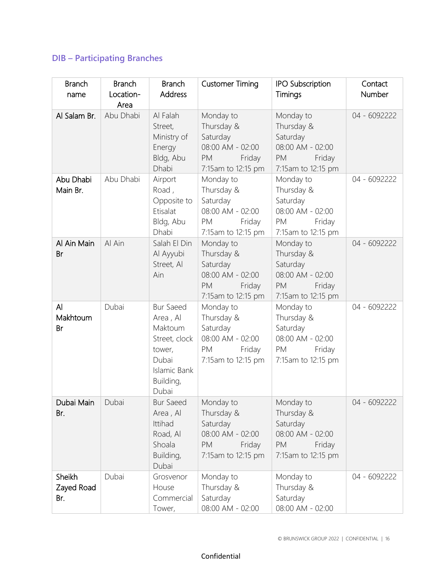## **DIB – Participating Branches**

| <b>Branch</b><br>name       | <b>Branch</b><br>Location-<br>Area | <b>Branch</b><br>Address                                                                                          | <b>Customer Timing</b>                                                                               | <b>IPO Subscription</b><br>Timings                                                                    | Contact<br>Number |
|-----------------------------|------------------------------------|-------------------------------------------------------------------------------------------------------------------|------------------------------------------------------------------------------------------------------|-------------------------------------------------------------------------------------------------------|-------------------|
| Al Salam Br.                | Abu Dhabi                          | Al Falah<br>Street,<br>Ministry of<br>Energy<br>Bldg, Abu<br>Dhabi                                                | Monday to<br>Thursday &<br>Saturday<br>08:00 AM - 02:00<br><b>PM</b><br>Friday<br>7:15am to 12:15 pm | Monday to<br>Thursday &<br>Saturday<br>08:00 AM - 02:00<br>PM<br>Friday<br>7:15 am to 12:15 pm        | 04 - 6092222      |
| Abu Dhabi<br>Main Br.       | Abu Dhabi                          | Airport<br>Road,<br>Opposite to<br>Etisalat<br>Bldg, Abu<br>Dhabi                                                 | Monday to<br>Thursday &<br>Saturday<br>08:00 AM - 02:00<br>Friday<br><b>PM</b><br>7:15am to 12:15 pm | Monday to<br>Thursday &<br>Saturday<br>08:00 AM - 02:00<br>Friday<br><b>PM</b><br>7:15am to 12:15 pm  | 04 - 6092222      |
| Al Ain Main<br><b>Br</b>    | Al Ain                             | Salah El Din<br>Al Ayyubi<br>Street, Al<br>Ain                                                                    | Monday to<br>Thursday &<br>Saturday<br>08:00 AM - 02:00<br><b>PM</b><br>Friday<br>7:15am to 12:15 pm | Monday to<br>Thursday &<br>Saturday<br>08:00 AM - 02:00<br>Friday<br><b>PM</b><br>7:15 am to 12:15 pm | 04 - 6092222      |
| AI<br>Makhtoum<br>Br        | Dubai                              | <b>Bur Saeed</b><br>Area, Al<br>Maktoum<br>Street, clock<br>tower,<br>Dubai<br>Islamic Bank<br>Building,<br>Dubai | Monday to<br>Thursday &<br>Saturday<br>08:00 AM - 02:00<br><b>PM</b><br>Friday<br>7:15am to 12:15 pm | Monday to<br>Thursday &<br>Saturday<br>08:00 AM - 02:00<br>PM<br>Friday<br>7:15am to 12:15 pm         | 04 - 6092222      |
| Dubai Main<br>Br.           | Dubai                              | <b>Bur Saeed</b><br>Area, Al<br>Ittihad<br>Road, Al<br>Shoala<br>Building,<br>Dubai                               | Monday to<br>Thursday &<br>Saturday<br>08:00 AM - 02:00<br>PM<br>Friday<br>7:15am to 12:15 pm        | Monday to<br>Thursday &<br>Saturday<br>08:00 AM - 02:00<br>PM<br>Friday<br>7:15 am to 12:15 pm        | 04 - 6092222      |
| Sheikh<br>Zayed Road<br>Br. | Dubai                              | Grosvenor<br>House<br>Commercial<br>Tower,                                                                        | Monday to<br>Thursday &<br>Saturday<br>08:00 AM - 02:00                                              | Monday to<br>Thursday &<br>Saturday<br>08:00 AM - 02:00                                               | 04 - 6092222      |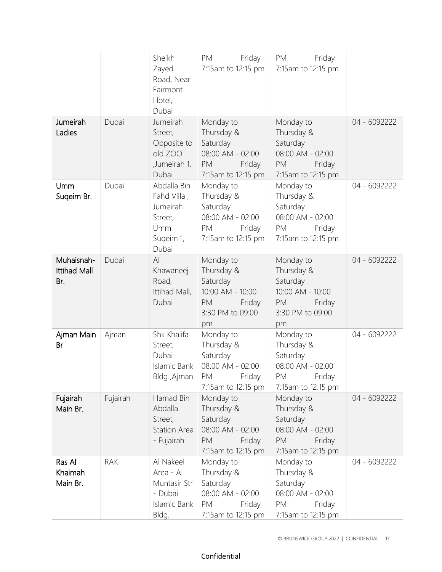|                                   |            | Sheikh<br>Zayed<br>Road, Near<br>Fairmont<br>Hotel,<br>Dubai                          | Friday<br>PM<br>7:15am to 12:15 pm                                                                             | PM<br>Friday<br>7:15am to 12:15 pm                                                                          |              |
|-----------------------------------|------------|---------------------------------------------------------------------------------------|----------------------------------------------------------------------------------------------------------------|-------------------------------------------------------------------------------------------------------------|--------------|
| Jumeirah<br>Ladies                | Dubai      | Jumeirah<br>Street,<br>Opposite to<br>old ZOO<br>,Jumeirah 1,<br>Dubai                | Monday to<br>Thursday &<br>Saturday<br>08:00 AM - 02:00<br>PM<br>Friday<br>7:15am to 12:15 pm                  | Monday to<br>Thursday &<br>Saturday<br>08:00 AM - 02:00<br>Friday<br><b>PM</b><br>7:15am to 12:15 pm        | 04 - 6092222 |
| Umm<br>Sugeim Br.                 | Dubai      | Abdalla Bin<br>Fahd Villa,<br>Jumeirah<br>Street,<br><b>Umm</b><br>Sugeim 1,<br>Dubai | Monday to<br>Thursday &<br>Saturday<br>08:00 AM - 02:00<br><b>PM</b><br>Friday<br>7:15am to 12:15 pm           | Monday to<br>Thursday &<br>Saturday<br>08:00 AM - 02:00<br><b>PM</b><br>Friday<br>7:15 am to 12:15 pm       | 04 - 6092222 |
| Muhaisnah-<br>Ittihad Mall<br>Br. | Dubai      | $\mathsf{A}$<br>Khawaneej<br>Road,<br>Ittihad Mall,<br>Dubai                          | Monday to<br>Thursday &<br>Saturday<br>10:00 AM - 10:00<br>PM <sub>2</sub><br>Friday<br>3:30 PM to 09:00<br>pm | Monday to<br>Thursday &<br>Saturday<br>10:00 AM - 10:00<br><b>PM</b><br>Friday<br>3:30 PM to 09:00<br>pm    | 04 - 6092222 |
| Ajman Main<br>Br                  | Ajman      | Shk Khalifa<br>Street,<br>Dubai<br>Islamic Bank<br>Bldg, Ajman                        | Monday to<br>Thursday &<br>Saturday<br>08:00 AM - 02:00<br>PM Friday<br>7:15am to 12:15 pm                     | Monday to<br>Thursday &<br>Saturday<br>08:00 AM - 02:00<br>PM <sub>2</sub><br>Friday<br>7:15 am to 12:15 pm | 04 - 6092222 |
| Fujairah<br>Main Br.              | Fujairah   | Hamad Bin<br>Abdalla<br>Street,<br>Station Area<br>- Fujairah                         | Monday to<br>Thursday &<br>Saturday<br>08:00 AM - 02:00<br>PM<br>Friday<br>7:15am to 12:15 pm                  | Monday to<br>Thursday &<br>Saturday<br>08:00 AM - 02:00<br><b>PM</b><br>Friday<br>7:15 am to 12:15 pm       | 04 - 6092222 |
| Ras Al<br>Khaimah<br>Main Br.     | <b>RAK</b> | Al Nakeel<br>Area - Al<br>Muntasir Str<br>- Dubai<br>Islamic Bank<br>Bldg.            | Monday to<br>Thursday &<br>Saturday<br>08:00 AM - 02:00<br><b>PM</b><br>Friday<br>7:15am to 12:15 pm           | Monday to<br>Thursday &<br>Saturday<br>08:00 AM - 02:00<br><b>PM</b><br>Friday<br>7:15am to 12:15 pm        | 04 - 6092222 |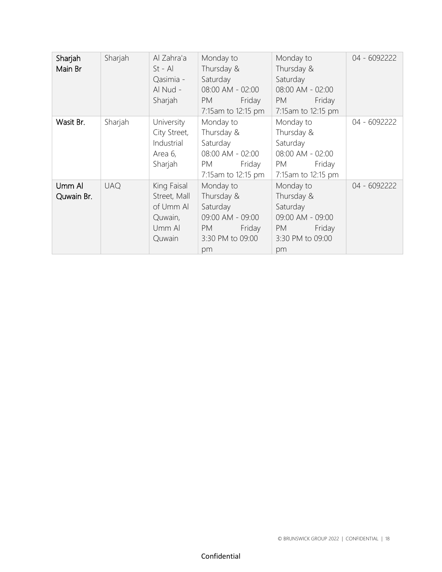| Sharjah<br>Main Br   | Sharjah    | Al Zahra'a<br>$St - Al$<br>Qasimia -<br>Al Nud -<br>Sharjah             | Monday to<br>Thursday &<br>Saturday<br>08:00 AM - 02:00<br>PM <sub>2</sub><br>Friday<br>7:15am to 12:15 pm                                                                                                                                                                                                                    | Monday to<br>Thursday &<br>Saturday<br>08:00 AM - 02:00<br>Friday<br>PM<br>7:15 am to 12:15 pm      | 04 - 6092222 |
|----------------------|------------|-------------------------------------------------------------------------|-------------------------------------------------------------------------------------------------------------------------------------------------------------------------------------------------------------------------------------------------------------------------------------------------------------------------------|-----------------------------------------------------------------------------------------------------|--------------|
| Wasit Br.            | Sharjah    | University<br>City Street,<br>Industrial<br>Area 6,<br>Sharjah          | Monday to<br>Thursday &<br>Saturday<br>08:00 AM - 02:00<br><b>PM</b><br>Friday<br>7:15am to 12:15 pm                                                                                                                                                                                                                          | Monday to<br>Thursday &<br>Saturday<br>08:00 AM - 02:00<br>Friday<br>PM<br>7:15am to 12:15 pm       | 04 - 6092222 |
| Umm Al<br>Quwain Br. | <b>UAQ</b> | King Faisal<br>Street, Mall<br>of Umm Al<br>Quwain,<br>Umm Al<br>Quwain | Monday to<br>Thursday &<br>Saturday<br>09:00 AM - 09:00<br>Friday<br>PM and the set of the set of the set of the set of the set of the set of the set of the set of the set of the set of the set of the set of the set of the set of the set of the set of the set of the set of the set of the se<br>3:30 PM to 09:00<br>pm | Monday to<br>Thursday &<br>Saturday<br>09:00 AM - 09:00<br>Friday<br>PM -<br>3:30 PM to 09:00<br>pm | 04 - 6092222 |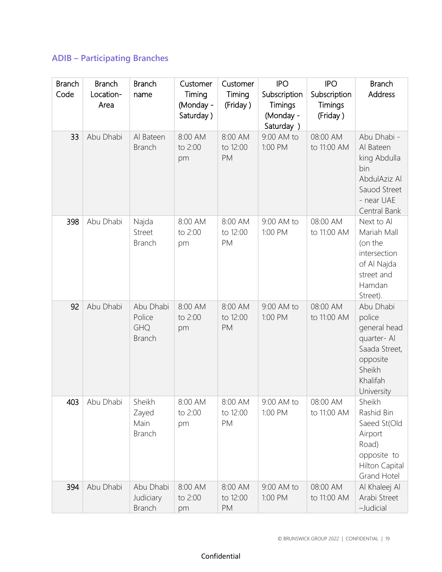## **ADIB – Participating Branches**

| <b>Branch</b><br>Code | <b>Branch</b><br>Location-<br>Area | <b>Branch</b><br>name                       | Customer<br>Timing<br>(Monday -<br>Saturday) | Customer<br>Timing<br>(Friday) | <b>IPO</b><br>Subscription<br>Timings<br>(Monday -<br>Saturday ) | <b>IPO</b><br>Subscription<br>Timings<br>(Friday) | <b>Branch</b><br><b>Address</b>                                                                                    |
|-----------------------|------------------------------------|---------------------------------------------|----------------------------------------------|--------------------------------|------------------------------------------------------------------|---------------------------------------------------|--------------------------------------------------------------------------------------------------------------------|
| 33                    | Abu Dhabi                          | Al Bateen<br><b>Branch</b>                  | 8:00 AM<br>to 2:00<br>pm                     | 8:00 AM<br>to 12:00<br>PM      | 9:00 AM to<br>1:00 PM                                            | 08:00 AM<br>to 11:00 AM                           | Abu Dhabi -<br>Al Bateen<br>king Abdulla<br>bin<br>AbdulAziz Al<br>Sauod Street<br>- near UAE<br>Central Bank      |
| 398                   | Abu Dhabi                          | Najda<br>Street<br><b>Branch</b>            | 8:00 AM<br>to 2:00<br>pm                     | 8:00 AM<br>to 12:00<br>PM      | 9:00 AM to<br>1:00 PM                                            | 08:00 AM<br>to 11:00 AM                           | Next to Al<br>Mariah Mall<br>(on the<br>intersection<br>of Al Najda<br>street and<br>Hamdan<br>Street).            |
| 92                    | Abu Dhabi                          | Abu Dhabi<br>Police<br>GHQ<br><b>Branch</b> | 8:00 AM<br>to 2:00<br>pm                     | 8:00 AM<br>to 12:00<br>PM      | 9:00 AM to<br>1:00 PM                                            | 08:00 AM<br>to 11:00 AM                           | Abu Dhabi<br>police<br>general head<br>quarter-Al<br>Saada Street,<br>opposite<br>Sheikh<br>Khalifah<br>University |
| 403                   | Abu Dhabi                          | Sheikh<br>Zayed<br>Main<br><b>Branch</b>    | 8:00 AM<br>to 2:00<br>pm                     | 8:00 AM<br>to 12:00<br>PM      | 9:00 AM to<br>1:00 PM                                            | 08:00 AM<br>to 11:00 AM                           | Sheikh<br>Rashid Bin<br>Saeed St(Old<br>Airport<br>Road)<br>opposite to<br>Hilton Capital<br>Grand Hotel           |
| 394                   | Abu Dhabi                          | Abu Dhabi<br>Judiciary<br><b>Branch</b>     | 8:00 AM<br>to 2:00<br>pm                     | 8:00 AM<br>to 12:00<br>PM      | 9:00 AM to<br>1:00 PM                                            | 08:00 AM<br>to 11:00 AM                           | Al Khaleej Al<br>Arabi Street<br>-Judicial                                                                         |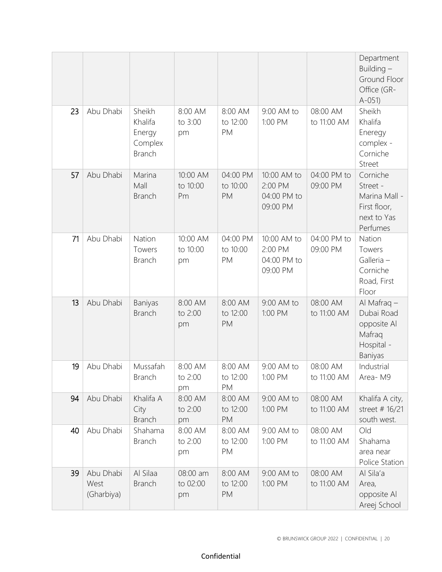|    |                                 |                                                         |                            |                                   |                                                   |                         | Department<br>Building-<br>Ground Floor<br>Office (GR-<br>$A - 051$              |
|----|---------------------------------|---------------------------------------------------------|----------------------------|-----------------------------------|---------------------------------------------------|-------------------------|----------------------------------------------------------------------------------|
| 23 | Abu Dhabi                       | Sheikh<br>Khalifa<br>Energy<br>Complex<br><b>Branch</b> | 8:00 AM<br>to 3:00<br>pm   | 8:00 AM<br>to 12:00<br>PM         | 9:00 AM to<br>1:00 PM                             | 08:00 AM<br>to 11:00 AM | Sheikh<br>Khalifa<br>Eneregy<br>complex -<br>Corniche<br>Street                  |
| 57 | Abu Dhabi                       | Marina<br>Mall<br><b>Branch</b>                         | 10:00 AM<br>to 10:00<br>Pm | 04:00 PM<br>to 10:00<br><b>PM</b> | 10:00 AM to<br>2:00 PM<br>04:00 PM to<br>09:00 PM | 04:00 PM to<br>09:00 PM | Corniche<br>Street -<br>Marina Mall -<br>First floor,<br>next to Yas<br>Perfumes |
| 71 | Abu Dhabi                       | Nation<br>Towers<br><b>Branch</b>                       | 10:00 AM<br>to 10:00<br>pm | 04:00 PM<br>to 10:00<br>PM        | 10:00 AM to<br>2:00 PM<br>04:00 PM to<br>09:00 PM | 04:00 PM to<br>09:00 PM | Nation<br>Towers<br>Galleria -<br>Corniche<br>Road, First<br>Floor               |
| 13 | Abu Dhabi                       | Baniyas<br><b>Branch</b>                                | 8:00 AM<br>to 2:00<br>pm   | 8:00 AM<br>to 12:00<br><b>PM</b>  | 9:00 AM to<br>1:00 PM                             | 08:00 AM<br>to 11:00 AM | Al Mafraq $-$<br>Dubai Road<br>opposite Al<br>Mafraq<br>Hospital -<br>Baniyas    |
| 19 | Abu Dhabi                       | Mussafah<br><b>Branch</b>                               | 8:00 AM<br>to 2:00<br>pm   | 8:00 AM<br>to 12:00<br>PM         | 9:00 AM to<br>1:00 PM                             | 08:00 AM<br>to 11:00 AM | Industrial<br>Area-M9                                                            |
| 94 | Abu Dhabi                       | Khalifa A<br>City<br><b>Branch</b>                      | 8:00 AM<br>to 2:00<br>pm   | 8:00 AM<br>to 12:00<br>PM         | 9:00 AM to<br>1:00 PM                             | 08:00 AM<br>to 11:00 AM | Khalifa A city,<br>street # 16/21<br>south west.                                 |
| 40 | Abu Dhabi                       | Shahama<br><b>Branch</b>                                | 8:00 AM<br>to 2:00<br>pm   | 8:00 AM<br>to 12:00<br>PM         | 9:00 AM to<br>1:00 PM                             | 08:00 AM<br>to 11:00 AM | Old<br>Shahama<br>area near<br>Police Station                                    |
| 39 | Abu Dhabi<br>West<br>(Gharbiya) | Al Silaa<br><b>Branch</b>                               | 08:00 am<br>to 02:00<br>pm | 8:00 AM<br>to 12:00<br>PM         | 9:00 AM to<br>1:00 PM                             | 08:00 AM<br>to 11:00 AM | Al Sila'a<br>Area,<br>opposite Al<br>Areej School                                |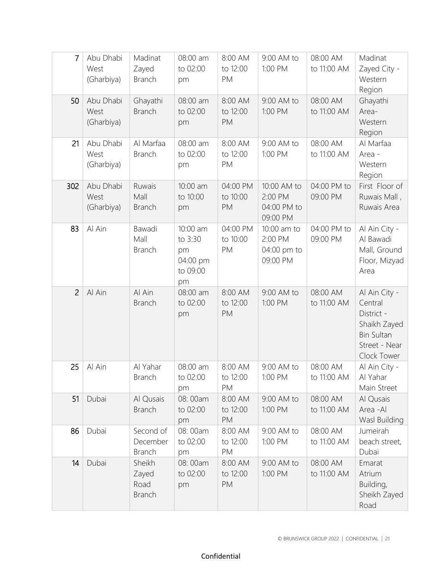| $\overline{7}$ | Abu Dhabi<br>West               | Madinat<br>Zayed                         | 08:00 am<br>to 02:00                                    | 8:00 AM<br>to 12:00        | 9:00 AM to<br>1:00 PM                             | 08:00 AM<br>to 11:00 AM | Madinat<br>Zayed City -                                                                                     |
|----------------|---------------------------------|------------------------------------------|---------------------------------------------------------|----------------------------|---------------------------------------------------|-------------------------|-------------------------------------------------------------------------------------------------------------|
|                | (Gharbiya)                      | Branch                                   | pm                                                      | PM                         |                                                   |                         | Western<br>Region                                                                                           |
| 50             | Abu Dhabi<br>West<br>(Gharbiya) | Ghayathi<br><b>Branch</b>                | 08:00 am<br>to 02:00<br>pm                              | 8:00 AM<br>to 12:00<br>PM  | 9:00 AM to<br>1:00 PM                             | 08:00 AM<br>to 11:00 AM | Ghayathi<br>Area-<br>Western<br>Region                                                                      |
| 21             | Abu Dhabi<br>West<br>(Gharbiya) | Al Marfaa<br>Branch                      | 08:00 am<br>to 02:00<br>pm                              | 8:00 AM<br>to 12:00<br>PM  | 9:00 AM to<br>1:00 PM                             | 08:00 AM<br>to 11:00 AM | Al Marfaa<br>Area -<br>Western<br>Region                                                                    |
| 302            | Abu Dhabi<br>West<br>(Gharbiya) | Ruwais<br>Mall<br><b>Branch</b>          | 10:00 am<br>to 10:00<br>pm                              | 04:00 PM<br>to 10:00<br>PM | 10:00 AM to<br>2:00 PM<br>04:00 PM to<br>09:00 PM | 04:00 PM to<br>09:00 PM | First Floor of<br>Ruwais Mall,<br>Ruwais Area                                                               |
| 83             | Al Ain                          | Bawadi<br>Mall<br><b>Branch</b>          | 10:00 am<br>to 3:30<br>pm<br>04:00 pm<br>to 09:00<br>pm | 04:00 PM<br>to 10:00<br>PM | 10:00 am to<br>2:00 PM<br>04:00 pm to<br>09:00 PM | 04:00 PM to<br>09:00 PM | Al Ain City -<br>Al Bawadi<br>Mall, Ground<br>Floor, Mizyad<br>Area                                         |
| $\overline{c}$ | Al Ain                          | Al Ain<br><b>Branch</b>                  | 08:00 am<br>to 02:00<br>pm                              | 8:00 AM<br>to 12:00<br>PM  | 9:00 AM to<br>1:00 PM                             | 08:00 AM<br>to 11:00 AM | Al Ain City -<br>Central<br>District -<br>Shaikh Zayed<br><b>Bin Sultan</b><br>Street - Near<br>Clock Tower |
| 25             | Al Ain                          | Al Yahar<br><b>Branch</b>                | 08:00 am<br>to 02:00<br>pm                              | 8:00 AM<br>to 12:00<br>PM  | 9:00 AM to<br>1:00 PM                             | 08:00 AM<br>to 11:00 AM | Al Ain City -<br>Al Yahar<br>Main Street                                                                    |
| 51             | Dubai                           | Al Qusais<br><b>Branch</b>               | 08: 00am<br>to 02:00<br>pm                              | 8:00 AM<br>to 12:00<br>PM  | 9:00 AM to<br>1:00 PM                             | 08:00 AM<br>to 11:00 AM | Al Qusais<br>Area - Al<br>Wasl Building                                                                     |
| 86             | Dubai                           | Second of<br>December<br><b>Branch</b>   | 08: 00am<br>to 02:00<br>pm                              | 8:00 AM<br>to 12:00<br>PM  | 9:00 AM to<br>1:00 PM                             | 08:00 AM<br>to 11:00 AM | Jumeirah<br>beach street,<br>Dubai                                                                          |
| 14             | Dubai                           | Sheikh<br>Zayed<br>Road<br><b>Branch</b> | 08:00am<br>to 02:00<br>pm                               | 8:00 AM<br>to 12:00<br>PM  | 9:00 AM to<br>1:00 PM                             | 08:00 AM<br>to 11:00 AM | Emarat<br>Atrium<br>Building,<br>Sheikh Zayed<br>Road                                                       |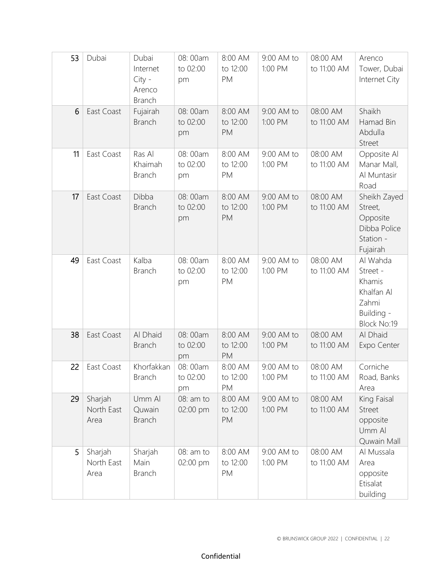| 53 | Dubai                         | Dubai<br>Internet<br>$City -$<br>Arenco<br><b>Branch</b> | 08:00am<br>to 02:00<br>pm  | 8:00 AM<br>to 12:00<br>PM        | 9:00 AM to<br>1:00 PM | 08:00 AM<br>to 11:00 AM | Arenco<br>Tower, Dubai<br>Internet City                                            |
|----|-------------------------------|----------------------------------------------------------|----------------------------|----------------------------------|-----------------------|-------------------------|------------------------------------------------------------------------------------|
| 6  | East Coast                    | Fujairah<br><b>Branch</b>                                | 08:00am<br>to 02:00<br>pm  | 8:00 AM<br>to 12:00<br><b>PM</b> | 9:00 AM to<br>1:00 PM | 08:00 AM<br>to 11:00 AM | Shaikh<br>Hamad Bin<br>Abdulla<br>Street                                           |
| 11 | East Coast                    | Ras Al<br>Khaimah<br><b>Branch</b>                       | 08: 00am<br>to 02:00<br>pm | 8:00 AM<br>to 12:00<br>PM        | 9:00 AM to<br>1:00 PM | 08:00 AM<br>to 11:00 AM | Opposite Al<br>Manar Mall,<br>Al Muntasir<br>Road                                  |
| 17 | East Coast                    | Dibba<br><b>Branch</b>                                   | 08:00am<br>to 02:00<br>pm  | 8:00 AM<br>to 12:00<br><b>PM</b> | 9:00 AM to<br>1:00 PM | 08:00 AM<br>to 11:00 AM | Sheikh Zayed<br>Street,<br>Opposite<br>Dibba Police<br>Station -<br>Fujairah       |
| 49 | East Coast                    | Kalba<br><b>Branch</b>                                   | 08: 00am<br>to 02:00<br>pm | 8:00 AM<br>to 12:00<br>PM        | 9:00 AM to<br>1:00 PM | 08:00 AM<br>to 11:00 AM | Al Wahda<br>Street -<br>Khamis<br>Khalfan Al<br>Zahmi<br>Building -<br>Block No:19 |
| 38 | East Coast                    | Al Dhaid<br><b>Branch</b>                                | 08:00am<br>to 02:00<br>pm  | 8:00 AM<br>to 12:00<br><b>PM</b> | 9:00 AM to<br>1:00 PM | 08:00 AM<br>to 11:00 AM | Al Dhaid<br>Expo Center                                                            |
| 22 | East Coast                    | Khorfakkan<br><b>Branch</b>                              | 08:00am<br>to 02:00<br>pm  | 8:00 AM<br>to 12:00<br>PM        | 9:00 AM to<br>1:00 PM | 08:00 AM<br>to 11:00 AM | Corniche<br>Road, Banks<br>Area                                                    |
| 29 | Sharjah<br>North East<br>Area | Umm Al<br>Quwain<br><b>Branch</b>                        | 08: am to<br>02:00 pm      | 8:00 AM<br>to 12:00<br>PM        | 9:00 AM to<br>1:00 PM | 08:00 AM<br>to 11:00 AM | King Faisal<br>Street<br>opposite<br>Umm Al<br>Quwain Mall                         |
| 5  | Sharjah<br>North East<br>Area | Sharjah<br>Main<br><b>Branch</b>                         | 08: am to<br>02:00 pm      | 8:00 AM<br>to 12:00<br>PM        | 9:00 AM to<br>1:00 PM | 08:00 AM<br>to 11:00 AM | Al Mussala<br>Area<br>opposite<br>Etisalat<br>building                             |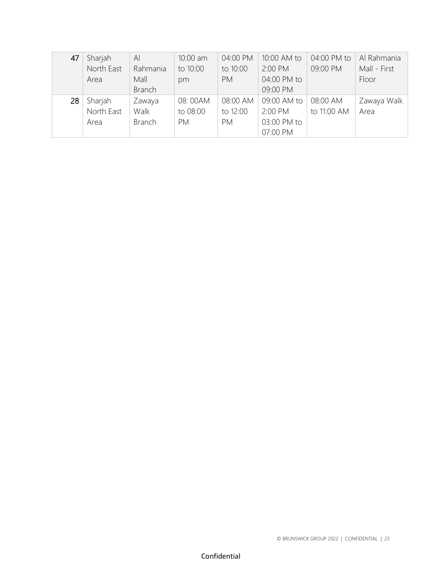| 47 | Sharjah    | $\mathsf{A}$  | 10:00 am  | 04:00 PM  | 10:00 AM to | 04:00 PM to | Al Rahmania  |
|----|------------|---------------|-----------|-----------|-------------|-------------|--------------|
|    | North East | Rahmania      | to 10:00  | to 10:00  | 2:00 PM     | 09:00 PM    | Mall - First |
|    | Area       | Mall          | pm        | <b>PM</b> | 04:00 PM to |             | Floor        |
|    |            | <b>Branch</b> |           |           | 09:00 PM    |             |              |
| 28 | Sharjah    | Zawaya        | 08: 00AM  | 08:00 AM  | 09:00 AM to | 08:00 AM    | Zawaya Walk  |
|    | North East | Walk          | to 08:00  | to 12:00  | 2:00 PM     | to 11:00 AM | Area         |
|    | Area       | <b>Branch</b> | <b>PM</b> | <b>PM</b> | 03:00 PM to |             |              |
|    |            |               |           |           | 07:00 PM    |             |              |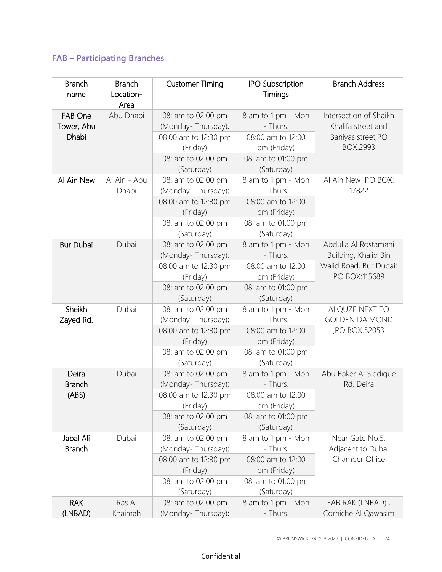## **FAB – Participating Branches**

| <b>Branch</b><br>name           | <b>Branch</b><br>Location-<br>Area | <b>Customer Timing</b>                                                                                           | <b>IPO Subscription</b><br>Timings                                                                     | <b>Branch Address</b>                                                                   |
|---------------------------------|------------------------------------|------------------------------------------------------------------------------------------------------------------|--------------------------------------------------------------------------------------------------------|-----------------------------------------------------------------------------------------|
| FAB One<br>Tower, Abu<br>Dhabi  | Abu Dhabi                          | 08: am to 02:00 pm<br>(Monday-Thursday);<br>08:00 am to 12:30 pm<br>(Friday)<br>08: am to 02:00 pm<br>(Saturday) | 8 am to 1 pm - Mon<br>- Thurs.<br>08:00 am to 12:00<br>pm (Friday)<br>08: am to 01:00 pm<br>(Saturday) | Intersection of Shaikh<br>Khalifa street and<br>Baniyas street, PO<br>BOX:2993          |
| Al Ain New                      | Al Ain - Abu<br>Dhabi              | 08: am to 02:00 pm<br>(Monday-Thursday);<br>08:00 am to 12:30 pm<br>(Friday)<br>08: am to 02:00 pm<br>(Saturday) | 8 am to 1 pm - Mon<br>- Thurs.<br>08:00 am to 12:00<br>pm (Friday)<br>08: am to 01:00 pm<br>(Saturday) | Al Ain New PO BOX:<br>17822                                                             |
| <b>Bur Dubai</b>                | Dubai                              | 08: am to 02:00 pm<br>(Monday-Thursday);<br>08:00 am to 12:30 pm<br>(Friday)<br>08: am to 02:00 pm<br>(Saturday) | 8 am to 1 pm - Mon<br>- Thurs.<br>08:00 am to 12:00<br>pm (Friday)<br>08: am to 01:00 pm<br>(Saturday) | Abdulla Al Rostamani<br>Building, Khalid Bin<br>Walid Road, Bur Dubai;<br>PO BOX:115689 |
| Sheikh<br>Zayed Rd.             | Dubai                              | 08: am to 02:00 pm<br>(Monday-Thursday);<br>08:00 am to 12:30 pm<br>(Friday)<br>08: am to 02:00 pm<br>(Saturday) | 8 am to 1 pm - Mon<br>- Thurs.<br>08:00 am to 12:00<br>pm (Friday)<br>08: am to 01:00 pm<br>(Saturday) | ALQUZE NEXT TO<br><b>GOLDEN DAIMOND</b><br>;PO BOX:52053                                |
| Deira<br><b>Branch</b><br>(ABS) | Dubai                              | 08: am to 02:00 pm<br>(Monday-Thursday);<br>08:00 am to 12:30 pm<br>(Friday)<br>08: am to 02:00 pm<br>(Saturday) | 8 am to 1 pm - Mon<br>- Thurs.<br>08:00 am to 12:00<br>pm (Friday)<br>08: am to 01:00 pm<br>(Saturday) | Abu Baker Al Siddique<br>Rd, Deira                                                      |
| Jabal Ali<br><b>Branch</b>      | Dubai                              | 08: am to 02:00 pm<br>(Monday-Thursday);<br>08:00 am to 12:30 pm<br>(Friday)<br>08: am to 02:00 pm<br>(Saturday) | 8 am to 1 pm - Mon<br>- Thurs.<br>08:00 am to 12:00<br>pm (Friday)<br>08: am to 01:00 pm<br>(Saturday) | Near Gate No.5,<br>Adjacent to Dubai<br>Chamber Office                                  |
| <b>RAK</b><br>(LNBAD)           | Ras Al<br>Khaimah                  | 08: am to 02:00 pm<br>(Monday-Thursday);                                                                         | 8 am to 1 pm - Mon<br>- Thurs.                                                                         | FAB RAK (LNBAD),<br>Corniche Al Qawasim                                                 |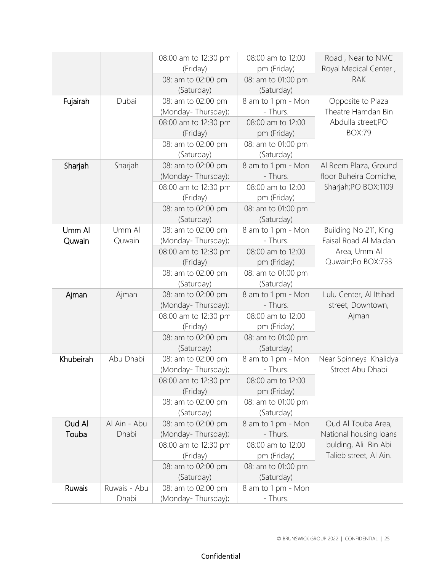|                  |                       | 08:00 am to 12:30 pm<br>(Friday)                                                                                 | 08:00 am to 12:00<br>pm (Friday)                                                                       | Road, Near to NMC<br>Royal Medical Center,                                                     |
|------------------|-----------------------|------------------------------------------------------------------------------------------------------------------|--------------------------------------------------------------------------------------------------------|------------------------------------------------------------------------------------------------|
|                  |                       | 08: am to 02:00 pm<br>(Saturday)                                                                                 | 08: am to 01:00 pm<br>(Saturday)                                                                       | <b>RAK</b>                                                                                     |
| Fujairah         | Dubai                 | 08: am to 02:00 pm<br>(Monday-Thursday);<br>08:00 am to 12:30 pm<br>(Friday)                                     | 8 am to 1 pm - Mon<br>- Thurs.<br>08:00 am to 12:00<br>pm (Friday)                                     | Opposite to Plaza<br>Theatre Hamdan Bin<br>Abdulla street;PO<br><b>BOX:79</b>                  |
|                  |                       | 08: am to 02:00 pm<br>(Saturday)                                                                                 | 08: am to 01:00 pm<br>(Saturday)                                                                       |                                                                                                |
| Sharjah          | Sharjah               | 08: am to 02:00 pm<br>(Monday-Thursday);<br>08:00 am to 12:30 pm<br>(Friday)<br>08: am to 02:00 pm<br>(Saturday) | 8 am to 1 pm - Mon<br>- Thurs.<br>08:00 am to 12:00<br>pm (Friday)<br>08: am to 01:00 pm<br>(Saturday) | Al Reem Plaza, Ground<br>floor Buheira Corniche,<br>Sharjah;PO BOX:1109                        |
| Umm Al<br>Quwain | Umm Al<br>Quwain      | 08: am to 02:00 pm<br>(Monday-Thursday);<br>08:00 am to 12:30 pm<br>(Friday)<br>08: am to 02:00 pm<br>(Saturday) | 8 am to 1 pm - Mon<br>- Thurs.<br>08:00 am to 12:00<br>pm (Friday)<br>08: am to 01:00 pm<br>(Saturday) | Building No 211, King<br>Faisal Road Al Maidan<br>Area, Umm Al<br>Quwain;Po BOX:733            |
| Ajman            | Ajman                 | 08: am to 02:00 pm<br>(Monday-Thursday);<br>08:00 am to 12:30 pm<br>(Friday)<br>08: am to 02:00 pm<br>(Saturday) | 8 am to 1 pm - Mon<br>- Thurs.<br>08:00 am to 12:00<br>pm (Friday)<br>08: am to 01:00 pm<br>(Saturday) | Lulu Center, Al Ittihad<br>street, Downtown,<br>Ajman                                          |
| Khubeirah        | Abu Dhabi             | 08: am to 02:00 pm<br>(Monday-Thursday);<br>08:00 am to 12:30 pm<br>(Friday)<br>08: am to 02:00 pm<br>(Saturday) | 8 am to 1 pm - Mon<br>- Thurs.<br>08:00 am to 12:00<br>pm (Friday)<br>08: am to 01:00 pm<br>(Saturday) | Near Spinneys Khalidya<br>Street Abu Dhabi                                                     |
| Oud Al<br>Touba  | Al Ain - Abu<br>Dhabi | 08: am to 02:00 pm<br>(Monday-Thursday);<br>08:00 am to 12:30 pm<br>(Friday)<br>08: am to 02:00 pm<br>(Saturday) | 8 am to 1 pm - Mon<br>- Thurs.<br>08:00 am to 12:00<br>pm (Friday)<br>08: am to 01:00 pm<br>(Saturday) | Oud Al Touba Area,<br>National housing loans<br>bulding, Ali Bin Abi<br>Talieb street, Al Ain. |
| Ruwais           | Ruwais - Abu<br>Dhabi | 08: am to 02:00 pm<br>(Monday-Thursday);                                                                         | 8 am to 1 pm - Mon<br>- Thurs.                                                                         |                                                                                                |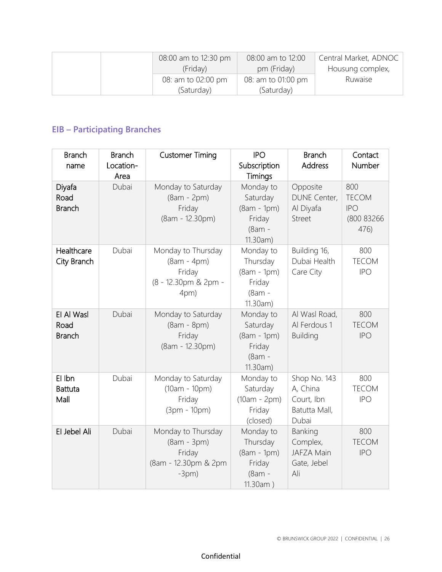| 08:00 am to 12:30 pm | 08:00 am to 12:00  | Central Market, ADNOC |
|----------------------|--------------------|-----------------------|
| (Friday)             | pm (Friday)        | Housung complex,      |
| 08: am to 02:00 pm   | 08: am to 01:00 pm | Ruwaise               |
| (Saturday)           | (Saturday)         |                       |

## **EIB – Participating Branches**

| <b>Branch</b><br>name               | <b>Branch</b><br>Location-<br>Area | <b>Customer Timing</b>                                                         | <b>IPO</b><br>Subscription<br>Timings                                  | <b>Branch</b><br><b>Address</b>                                  | Contact<br>Number                                       |
|-------------------------------------|------------------------------------|--------------------------------------------------------------------------------|------------------------------------------------------------------------|------------------------------------------------------------------|---------------------------------------------------------|
| Diyafa<br>Road<br><b>Branch</b>     | Dubai                              | Monday to Saturday<br>(8am - 2pm)<br>Friday<br>(8am - 12.30pm)                 | Monday to<br>Saturday<br>(8am - 1pm)<br>Friday<br>(8am -<br>11.30am)   | Opposite<br><b>DUNE Center,</b><br>Al Diyafa<br>Street           | 800<br><b>TECOM</b><br><b>IPO</b><br>(800 83266<br>476) |
| Healthcare<br>City Branch           | Dubai                              | Monday to Thursday<br>(8am - 4pm)<br>Friday<br>(8 - 12.30pm & 2pm -<br>4pm)    | Monday to<br>Thursday<br>$(8am - 1pm)$<br>Friday<br>(8am -<br>11.30am) | Building 16,<br>Dubai Health<br>Care City                        | 800<br><b>TECOM</b><br><b>IPO</b>                       |
| El Al Wasl<br>Road<br><b>Branch</b> | Dubai                              | Monday to Saturday<br>(8am - 8pm)<br>Friday<br>(8am - 12.30pm)                 | Monday to<br>Saturday<br>$(8am - 1pm)$<br>Friday<br>(8am -<br>11.30am) | Al Wasl Road,<br>Al Ferdous 1<br><b>Building</b>                 | 800<br><b>TECOM</b><br><b>IPO</b>                       |
| El Ibn<br><b>Battuta</b><br>Mall    | Dubai                              | Monday to Saturday<br>$(10am - 10pm)$<br>Friday<br>(3pm - 10pm)                | Monday to<br>Saturday<br>(10am - 2pm)<br>Friday<br>(closed)            | Shop No. 143<br>A, China<br>Court, Ibn<br>Batutta Mall,<br>Dubai | 800<br><b>TECOM</b><br><b>IPO</b>                       |
| El Jebel Ali                        | Dubai                              | Monday to Thursday<br>(8am - 3pm)<br>Friday<br>(8am - 12.30pm & 2pm<br>$-3pm)$ | Monday to<br>Thursday<br>$(8am - 1pm)$<br>Friday<br>(8am -<br>11.30am) | Banking<br>Complex,<br><b>JAFZA Main</b><br>Gate, Jebel<br>Ali   | 800<br><b>TECOM</b><br><b>IPO</b>                       |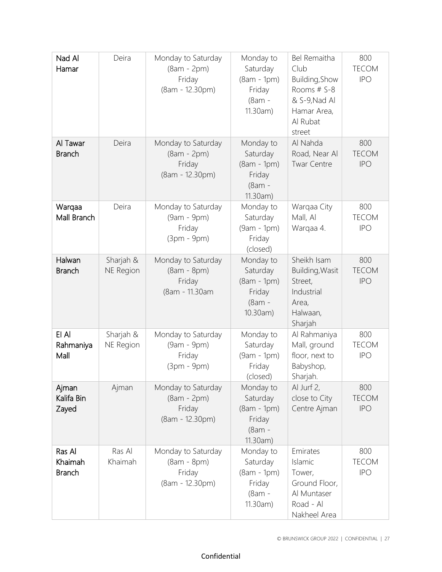| Nad Al<br>Hamar                    | Deira                  | Monday to Saturday<br>(8am - 2pm)<br>Friday<br>(8am - 12.30pm)   | Monday to<br>Saturday<br>$(8am - 1pm)$<br>Friday<br>(8am -<br>11.30am) | Bel Remaitha<br>Club<br>Building, Show<br>Rooms # S-8<br>& S-9, Nad Al<br>Hamar Area,<br>Al Rubat<br>street | 800<br><b>TECOM</b><br><b>IPO</b> |
|------------------------------------|------------------------|------------------------------------------------------------------|------------------------------------------------------------------------|-------------------------------------------------------------------------------------------------------------|-----------------------------------|
| Al Tawar<br><b>Branch</b>          | Deira                  | Monday to Saturday<br>(8am - 2pm)<br>Friday<br>(8am - 12.30pm)   | Monday to<br>Saturday<br>$(8am - 1pm)$<br>Friday<br>(8am -<br>11.30am) | Al Nahda<br>Road, Near Al<br><b>Twar Centre</b>                                                             | 800<br><b>TECOM</b><br><b>IPO</b> |
| Warqaa<br>Mall Branch              | Deira                  | Monday to Saturday<br>(9am - 9pm)<br>Friday<br>(3pm - 9pm)       | Monday to<br>Saturday<br>$(9am - 1pm)$<br>Friday<br>(closed)           | Warqaa City<br>Mall, Al<br>Warqaa 4.                                                                        | 800<br><b>TECOM</b><br><b>IPO</b> |
| Halwan<br><b>Branch</b>            | Sharjah &<br>NE Region | Monday to Saturday<br>(8am - 8pm)<br>Friday<br>(8am - 11.30am    | Monday to<br>Saturday<br>$(8am - 1pm)$<br>Friday<br>(8am -<br>10.30am) | Sheikh Isam<br>Building, Wasit<br>Street,<br>Industrial<br>Area,<br>Halwaan,<br>Sharjah                     | 800<br><b>TECOM</b><br><b>IPO</b> |
| EI AI<br>Rahmaniya<br>Mall         | Sharjah &<br>NE Region | Monday to Saturday<br>(9am - 9pm)<br>Friday<br>(3pm - 9pm)       | Monday to<br>Saturday<br>$(9am - 1pm)$<br>Friday<br>(closed)           | Al Rahmaniya<br>Mall, ground<br>floor, next to<br>Babyshop,<br>Sharjah.                                     | 800<br><b>TECOM</b><br><b>IPO</b> |
| Ajman<br>Kalifa Bin<br>Zayed       | Ajman                  | Monday to Saturday<br>(8am - 2pm)<br>Friday<br>(8am - 12.30pm)   | Monday to<br>Saturday<br>$(8am - 1pm)$<br>Friday<br>(8am -<br>11.30am) | Al Jurf 2,<br>close to City<br>Centre Ajman                                                                 | 800<br><b>TECOM</b><br><b>IPO</b> |
| Ras Al<br>Khaimah<br><b>Branch</b> | Ras Al<br>Khaimah      | Monday to Saturday<br>$(8am - 8pm)$<br>Friday<br>(8am - 12.30pm) | Monday to<br>Saturday<br>$(8am - 1pm)$<br>Friday<br>(8am -<br>11.30am) | Emirates<br>Islamic<br>Tower,<br>Ground Floor,<br>Al Muntaser<br>Road - Al<br>Nakheel Area                  | 800<br><b>TECOM</b><br><b>IPO</b> |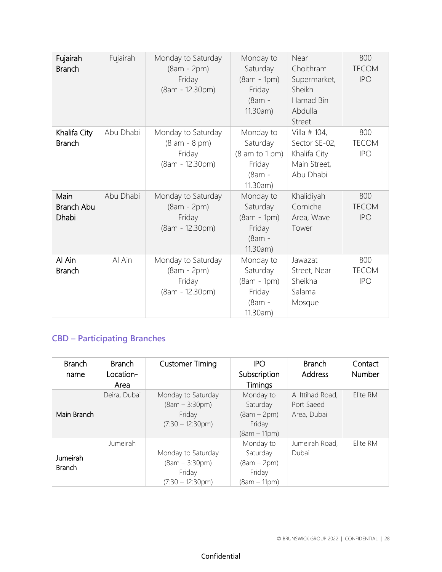| Fujairah<br><b>Branch</b>     | Fujairah  | Monday to Saturday<br>$(8am - 2pm)$<br>Friday<br>(8am - 12.30pm)   | Monday to<br>Saturday<br>$(8am - 1pm)$<br>Friday<br>(8am -<br>11.30am)  | Near<br>Choithram<br>Supermarket,<br>Sheikh<br>Hamad Bin<br>Abdulla<br><b>Street</b> | 800<br><b>TECOM</b><br><b>IPO</b> |
|-------------------------------|-----------|--------------------------------------------------------------------|-------------------------------------------------------------------------|--------------------------------------------------------------------------------------|-----------------------------------|
| Khalifa City<br><b>Branch</b> | Abu Dhabi | Monday to Saturday<br>$(8 am - 8 pm)$<br>Friday<br>(8am - 12.30pm) | Monday to<br>Saturday<br>(8 am to 1 pm)<br>Friday<br>(8am -<br>11.30am) | Villa # 104,<br>Sector SE-02,<br>Khalifa City<br>Main Street,<br>Abu Dhabi           | 800<br><b>TECOM</b><br><b>IPO</b> |
| Main<br>Branch Abu<br>Dhabi   | Abu Dhabi | Monday to Saturday<br>$(8am - 2pm)$<br>Friday<br>(8am - 12.30pm)   | Monday to<br>Saturday<br>$(8am - 1pm)$<br>Friday<br>(8am -<br>11.30am)  | Khalidiyah<br>Corniche<br>Area, Wave<br>Tower                                        | 800<br><b>TECOM</b><br><b>IPO</b> |
| Al Ain<br><b>Branch</b>       | Al Ain    | Monday to Saturday<br>$(8am - 2pm)$<br>Friday<br>(8am - 12.30pm)   | Monday to<br>Saturday<br>$(8am - 1pm)$<br>Friday<br>(8am -<br>11.30am)  | Jawazat<br>Street, Near<br>Sheikha<br>Salama<br>Mosque                               | 800<br><b>TECOM</b><br><b>IPO</b> |

## **CBD – Participating Branches**

| <b>Branch</b>             | <b>Branch</b> | <b>Customer Timing</b>     | <b>IPO</b>     | <b>Branch</b>    | Contact       |
|---------------------------|---------------|----------------------------|----------------|------------------|---------------|
| name                      | Location-     |                            | Subscription   | <b>Address</b>   | <b>Number</b> |
|                           | Area          |                            | Timings        |                  |               |
|                           | Deira, Dubai  | Monday to Saturday         | Monday to      | Al Ittihad Road, | Elite RM      |
|                           |               | $(8am - 3:30pm)$           | Saturday       | Port Saeed       |               |
| Main Branch               |               | Friday                     | $(8am - 2pm)$  | Area, Dubai      |               |
|                           |               | $(7:30 - 12:30 \text{pm})$ | Friday         |                  |               |
|                           |               |                            | $(8am - 11pm)$ |                  |               |
| Jumeirah<br><b>Branch</b> | Jumeirah      |                            | Monday to      | Jumeirah Road,   | Elite RM      |
|                           |               | Monday to Saturday         | Saturday       | Dubai            |               |
|                           |               | $(8am - 3:30pm)$           | $(8am - 2pm)$  |                  |               |
|                           |               | Friday                     | Friday         |                  |               |
|                           |               | $(7:30 - 12:30 \text{pm})$ | $(8am - 11pm)$ |                  |               |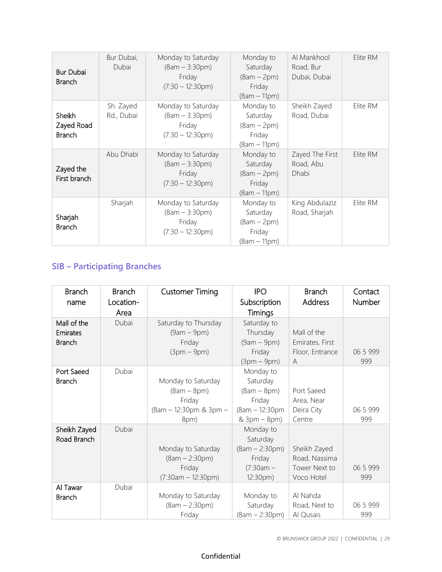| Bur Dubai<br><b>Branch</b>            | Bur Dubai,<br>Dubai     | Monday to Saturday<br>$(8am - 3:30pm)$<br>Friday<br>$(7:30 - 12:30 \text{pm})$ | Monday to<br>Saturday<br>$(8am - 2pm)$<br>Friday<br>$(8am - 11pm)$ | Al Mankhool<br>Road, Bur<br>Dubai, Dubai | Elite RM |
|---------------------------------------|-------------------------|--------------------------------------------------------------------------------|--------------------------------------------------------------------|------------------------------------------|----------|
| Sheikh<br>Zayed Road<br><b>Branch</b> | Sh. Zayed<br>Rd., Dubai | Monday to Saturday<br>$(8am - 3:30pm)$<br>Friday<br>$(7:30 - 12:30 \text{pm})$ | Monday to<br>Saturday<br>$(8am - 2pm)$<br>Friday<br>$(8am - 11pm)$ | Sheikh Zayed<br>Road, Dubai              | Elite RM |
| Zayed the<br>First branch             | Abu Dhabi               | Monday to Saturday<br>$(8am - 3:30pm)$<br>Friday<br>$(7:30 - 12:30 \text{pm})$ | Monday to<br>Saturday<br>$(8am - 2pm)$<br>Friday<br>$(8am - 11pm)$ | Zayed The First<br>Road, Abu<br>Dhabi    | Elite RM |
| Sharjah<br><b>Branch</b>              | Sharjah                 | Monday to Saturday<br>$(8am - 3:30pm)$<br>Friday<br>$(7:30 - 12:30 \text{pm})$ | Monday to<br>Saturday<br>$(8am - 2pm)$<br>Friday<br>$(8am - 11pm)$ | King Abdulaziz<br>Road, Sharjah          | Elite RM |

## **SIB – Participating Branches**

| <b>Branch</b><br>name                    | <b>Branch</b><br>Location-<br>Area | <b>Customer Timing</b>                                                          | <b>IPO</b><br>Subscription<br>Timings                                                 | <b>Branch</b><br>Address                                       | Contact<br>Number |
|------------------------------------------|------------------------------------|---------------------------------------------------------------------------------|---------------------------------------------------------------------------------------|----------------------------------------------------------------|-------------------|
| Mall of the<br>Emirates<br><b>Branch</b> | Dubai                              | Saturday to Thursday<br>$(9am - 9pm)$<br>Friday<br>$(3pm-9pm)$                  | Saturday to<br>Thursday<br>$(9am - 9pm)$<br>Friday<br>$(3pm-9pm)$                     | Mall of the<br>Emirates, First<br>Floor, Entrance<br>$\forall$ | 06 5 999<br>999   |
| Port Saeed<br><b>Branch</b>              | Dubai                              | Monday to Saturday<br>$(8am - 8pm)$<br>Friday<br>(8am - 12:30pm & 3pm -<br>8pm) | Monday to<br>Saturday<br>$(8am - 8pm)$<br>Friday<br>$(8am - 12:30pm)$<br>& 3pm - 8pm) | Port Saeed<br>Area, Near<br>Deira City<br>Centre               | 06 5 999<br>999   |
| Sheikh Zayed<br>Road Branch              | Dubai                              | Monday to Saturday<br>$(8am - 2:30pm)$<br>Friday<br>$(7:30am - 12:30pm)$        | Monday to<br>Saturday<br>$(8am - 2:30pm)$<br>Friday<br>$(7:30am -$<br>12:30pm)        | Sheikh Zayed<br>Road, Nassima<br>Tower Next to<br>Voco Hotel   | 06 5 999<br>999   |
| Al Tawar<br><b>Branch</b>                | Dubai                              | Monday to Saturday<br>$(8am - 2:30pm)$<br>Friday                                | Monday to<br>Saturday<br>$(8am - 2:30pm)$                                             | Al Nahda<br>Road, Next to<br>Al Qusais                         | 06 5 999<br>999   |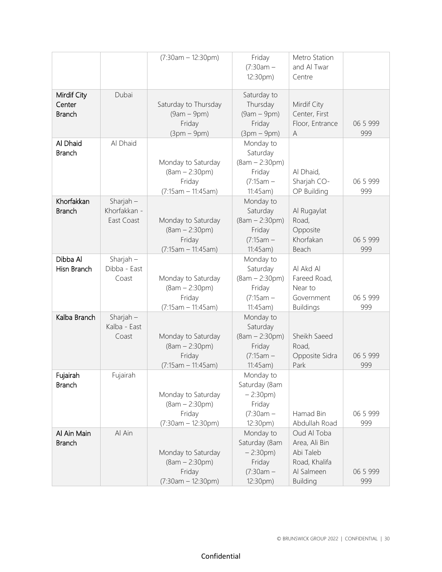|                           |                             | $(7:30am - 12:30pm)$                                                     | Friday                                                           | Metro Station                                                                |                 |
|---------------------------|-----------------------------|--------------------------------------------------------------------------|------------------------------------------------------------------|------------------------------------------------------------------------------|-----------------|
|                           |                             |                                                                          | $(7:30am -$                                                      | and Al Twar                                                                  |                 |
|                           |                             |                                                                          | 12:30pm)                                                         | Centre                                                                       |                 |
| Mirdif City               | Dubai                       |                                                                          | Saturday to                                                      |                                                                              |                 |
| Center                    |                             | Saturday to Thursday                                                     | Thursday                                                         | Mirdif City                                                                  |                 |
| <b>Branch</b>             |                             | $(9am - 9pm)$                                                            | $(9am - 9pm)$                                                    | Center, First                                                                |                 |
|                           |                             | Friday                                                                   | Friday                                                           | Floor, Entrance                                                              | 06 5 999        |
|                           |                             | $(3pm-9pm)$                                                              | $(3pm-9pm)$                                                      | Α                                                                            | 999             |
| Al Dhaid<br><b>Branch</b> | Al Dhaid                    |                                                                          | Monday to<br>Saturday                                            |                                                                              |                 |
|                           |                             | Monday to Saturday                                                       | $(8am - 2:30pm)$                                                 |                                                                              |                 |
|                           |                             | $(8am - 2:30pm)$                                                         | Friday                                                           | Al Dhaid,                                                                    |                 |
|                           |                             | Friday                                                                   | $(7:15am -$                                                      | Sharjah CO-                                                                  | 06 5 999        |
|                           |                             | $(7:15am - 11:45am)$                                                     | 11:45am)                                                         | OP Building                                                                  | 999             |
| Khorfakkan                | Sharjah $-$                 |                                                                          | Monday to                                                        |                                                                              |                 |
| <b>Branch</b>             | Khorfakkan -                |                                                                          | Saturday                                                         | Al Rugaylat                                                                  |                 |
|                           | East Coast                  | Monday to Saturday                                                       | $(8am - 2:30pm)$                                                 | Road,                                                                        |                 |
|                           |                             | $(8am - 2:30pm)$                                                         | Friday                                                           | Opposite                                                                     |                 |
|                           |                             | Friday                                                                   | $(7:15am -$                                                      | Khorfakan                                                                    | 06 5 999        |
|                           |                             | $(7:15am - 11:45am)$                                                     | 11:45am)                                                         | Beach                                                                        | 999             |
| Dibba Al<br>Hisn Branch   | Sharjah $-$<br>Dibba - East |                                                                          | Monday to<br>Saturday                                            | Al Akd Al                                                                    |                 |
|                           | Coast                       | Monday to Saturday                                                       | $(8am - 2:30pm)$                                                 | Fareed Road,                                                                 |                 |
|                           |                             | $(8am - 2:30pm)$                                                         | Friday                                                           | Near to                                                                      |                 |
|                           |                             | Friday                                                                   | $(7:15am -$                                                      | Government                                                                   | 06 5 999        |
|                           |                             | $(7:15am - 11:45am)$                                                     | 11:45am)                                                         | <b>Buildings</b>                                                             | 999             |
| Kalba Branch              | Sharjah $-$                 |                                                                          | Monday to                                                        |                                                                              |                 |
|                           | Kalba - East                |                                                                          | Saturday                                                         |                                                                              |                 |
|                           | Coast                       | Monday to Saturday                                                       | $(8am - 2:30pm)$                                                 | Sheikh Saeed                                                                 |                 |
|                           |                             | $(8am - 2:30pm)$                                                         | Friday                                                           | Road,                                                                        |                 |
|                           |                             | Friday<br>$(7:15am - 11:45am)$                                           | $(7:15am -$<br>11:45am)                                          | Opposite Sidra<br>Park                                                       | 06 5 999<br>999 |
| Fujairah                  | Fujairah                    |                                                                          | Monday to                                                        |                                                                              |                 |
| <b>Branch</b>             |                             |                                                                          | Saturday (8am                                                    |                                                                              |                 |
|                           |                             | Monday to Saturday                                                       | $-2:30pm)$                                                       |                                                                              |                 |
|                           |                             | $(8am - 2:30pm)$                                                         | Friday                                                           |                                                                              |                 |
|                           |                             | Friday                                                                   | $(7:30am -$                                                      | Hamad Bin                                                                    | 06 5 999        |
|                           |                             | $(7:30am - 12:30pm)$                                                     | 12:30pm)                                                         | Abdullah Road                                                                | 999             |
| Al Ain Main               | Al Ain                      |                                                                          | Monday to                                                        | Oud Al Toba                                                                  |                 |
|                           |                             |                                                                          |                                                                  |                                                                              |                 |
|                           |                             |                                                                          |                                                                  |                                                                              |                 |
|                           |                             |                                                                          |                                                                  |                                                                              |                 |
|                           |                             |                                                                          |                                                                  |                                                                              |                 |
| <b>Branch</b>             |                             | Monday to Saturday<br>$(8am - 2:30pm)$<br>Friday<br>$(7:30am - 12:30pm)$ | Saturday (8am<br>$-2:30pm)$<br>Friday<br>$(7:30am -$<br>12:30pm) | Area, Ali Bin<br>Abi Taleb<br>Road, Khalifa<br>Al Salmeen<br><b>Building</b> | 06 5 999<br>999 |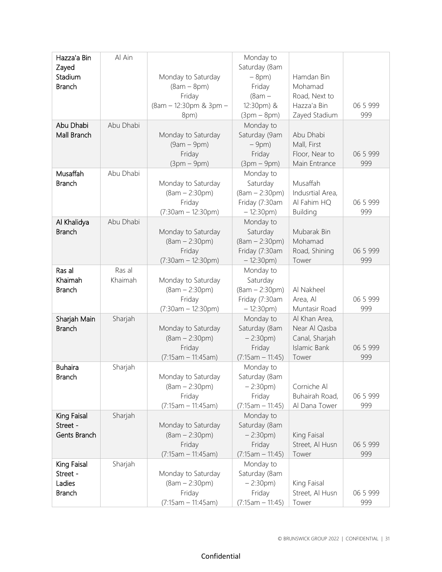| Hazza'a Bin    | Al Ain    |                                        | Monday to                    |                              |          |
|----------------|-----------|----------------------------------------|------------------------------|------------------------------|----------|
| Zayed          |           |                                        | Saturday (8am                |                              |          |
| Stadium        |           | Monday to Saturday                     | $-8$ pm $)$                  | Hamdan Bin                   |          |
| <b>Branch</b>  |           | $(8am - 8pm)$                          | Friday                       | Mohamad                      |          |
|                |           | Friday                                 | $(8am -$                     | Road, Next to                |          |
|                |           | (8am - 12:30pm & 3pm -                 | 12:30pm) &                   | Hazza'a Bin                  | 06 5 999 |
|                |           | 8pm)                                   | $(3pm - 8pm)$                | Zayed Stadium                | 999      |
| Abu Dhabi      | Abu Dhabi |                                        | Monday to                    |                              |          |
| Mall Branch    |           | Monday to Saturday                     | Saturday (9am                | Abu Dhabi                    |          |
|                |           | $(9am - 9pm)$                          | $-9$ pm $)$                  | Mall, First                  |          |
|                |           | Friday                                 | Friday                       | Floor, Near to               | 06 5 999 |
|                |           | $(3pm-9pm)$                            | $(3pm-9pm)$                  | Main Entrance                | 999      |
| Musaffah       | Abu Dhabi |                                        | Monday to                    |                              |          |
| <b>Branch</b>  |           | Monday to Saturday<br>$(8am - 2:30pm)$ | Saturday<br>$(8am - 2:30pm)$ | Musaffah<br>Indusrtial Area, |          |
|                |           | Friday                                 | Friday (7:30am               | Al Fahim HQ                  | 06 5 999 |
|                |           | $(7:30am - 12:30pm)$                   | $-12:30pm)$                  | <b>Building</b>              | 999      |
| Al Khalidya    | Abu Dhabi |                                        | Monday to                    |                              |          |
| <b>Branch</b>  |           | Monday to Saturday                     | Saturday                     | Mubarak Bin                  |          |
|                |           | $(8am - 2:30pm)$                       | $(8am - 2:30pm)$             | Mohamad                      |          |
|                |           | Friday                                 | Friday (7:30am               | Road, Shining                | 06 5 999 |
|                |           | $(7:30am - 12:30pm)$                   | $-12:30pm)$                  | Tower                        | 999      |
| Ras al         | Ras al    |                                        | Monday to                    |                              |          |
| Khaimah        | Khaimah   | Monday to Saturday                     | Saturday                     |                              |          |
| <b>Branch</b>  |           | $(8am - 2:30pm)$                       | $(8am - 2:30pm)$             | Al Nakheel                   |          |
|                |           | Friday                                 | Friday (7:30am               | Area, Al                     | 06 5 999 |
|                |           | $(7:30am - 12:30pm)$                   | $-12:30pm)$                  | Muntasir Road                | 999      |
| Sharjah Main   | Sharjah   |                                        | Monday to                    | Al Khan Area,                |          |
| <b>Branch</b>  |           | Monday to Saturday                     | Saturday (8am                | Near Al Qasba                |          |
|                |           | $(8am - 2:30pm)$                       | $-2:30pm)$                   | Canal, Sharjah               |          |
|                |           | Friday                                 | Friday                       | Islamic Bank                 | 06 5 999 |
|                |           | $(7:15am - 11:45am)$                   | $(7:15am - 11:45)$           | Tower                        | 999      |
| <b>Buhaira</b> | Sharjah   |                                        | Monday to                    |                              |          |
| <b>Branch</b>  |           | Monday to Saturday<br>$(8am - 2:30pm)$ | Saturday (8am                | Corniche Al                  |          |
|                |           | Friday                                 | $-2:30pm)$<br>Friday         | Buhairah Road,               | 06 5 999 |
|                |           | $(7:15am - 11:45am)$                   | $(7:15am - 11:45)$           | Al Dana Tower                | 999      |
| King Faisal    | Sharjah   |                                        | Monday to                    |                              |          |
| Street -       |           | Monday to Saturday                     | Saturday (8am                |                              |          |
| Gents Branch   |           | $(8am - 2:30pm)$                       | $-2:30pm)$                   | King Faisal                  |          |
|                |           | Friday                                 | Friday                       | Street, Al Husn              | 06 5 999 |
|                |           | $(7:15am - 11:45am)$                   | $(7:15am - 11:45)$           | Tower                        | 999      |
| King Faisal    | Sharjah   |                                        | Monday to                    |                              |          |
| Street -       |           | Monday to Saturday                     | Saturday (8am                |                              |          |
| Ladies         |           | $(8am - 2:30pm)$                       | $-2:30pm)$                   | King Faisal                  |          |
| <b>Branch</b>  |           | Friday                                 | Friday                       | Street, Al Husn              | 06 5 999 |
|                |           | $(7:15am - 11:45am)$                   | $(7:15am - 11:45)$           | Tower                        | 999      |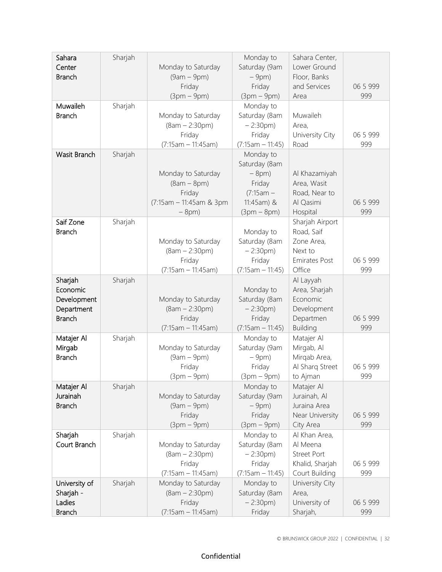| Sahara<br>Center<br><b>Branch</b>                                 | Sharjah | Monday to Saturday<br>$(9am - 9pm)$                                                     | Monday to<br>Saturday (9am<br>$-9$ pm $)$                                                         | Sahara Center,<br>Lower Ground<br>Floor, Banks                                           |                 |
|-------------------------------------------------------------------|---------|-----------------------------------------------------------------------------------------|---------------------------------------------------------------------------------------------------|------------------------------------------------------------------------------------------|-----------------|
|                                                                   |         | Friday<br>$(3pm-9pm)$                                                                   | Friday<br>$(3pm-9pm)$                                                                             | and Services<br>Area                                                                     | 06 5 999<br>999 |
| Muwaileh<br><b>Branch</b>                                         | Sharjah | Monday to Saturday<br>$(8am - 2:30pm)$<br>Friday<br>$(7:15am - 11:45am)$                | Monday to<br>Saturday (8am<br>$-2:30pm)$<br>Friday<br>$(7:15am - 11:45)$                          | Muwaileh<br>Area,<br>University City<br>Road                                             | 06 5 999<br>999 |
| Wasit Branch                                                      | Sharjah | Monday to Saturday<br>$(8am - 8pm)$<br>Friday<br>(7:15am - 11:45am & 3pm<br>$-8$ pm $)$ | Monday to<br>Saturday (8am<br>$-8$ pm $)$<br>Friday<br>$(7:15am -$<br>11:45am) &<br>$(3pm - 8pm)$ | Al Khazamiyah<br>Area, Wasit<br>Road, Near to<br>Al Qasimi<br>Hospital                   | 06 5 999<br>999 |
| Saif Zone<br><b>Branch</b>                                        | Sharjah | Monday to Saturday<br>$(8am - 2:30pm)$<br>Friday<br>$(7:15am - 11:45am)$                | Monday to<br>Saturday (8am<br>$-2:30pm)$<br>Friday<br>$(7:15am - 11:45)$                          | Sharjah Airport<br>Road, Saif<br>Zone Area,<br>Next to<br><b>Emirates Post</b><br>Office | 06 5 999<br>999 |
| Sharjah<br>Economic<br>Development<br>Department<br><b>Branch</b> | Sharjah | Monday to Saturday<br>$(8am - 2:30pm)$<br>Friday<br>$(7:15am - 11:45am)$                | Monday to<br>Saturday (8am<br>$-2:30pm)$<br>Friday<br>$(7:15am - 11:45)$                          | Al Layyah<br>Area, Sharjah<br>Economic<br>Development<br>Departmen<br><b>Building</b>    | 06 5 999<br>999 |
| Matajer Al<br>Mirgab<br><b>Branch</b>                             | Sharjah | Monday to Saturday<br>$(9am - 9pm)$<br>Friday<br>$(3pm-9pm)$                            | Monday to<br>Saturday (9am<br>$-9$ pm $)$<br>Friday<br>$(3pm-9pm)$                                | Matajer Al<br>Mirgab, Al<br>Mirgab Area,<br>Al Sharq Street<br>to Ajman                  | 06 5 999<br>999 |
| Matajer Al<br>Jurainah<br><b>Branch</b>                           | Sharjah | Monday to Saturday<br>$(9am - 9pm)$<br>Friday<br>$(3pm-9pm)$                            | Monday to<br>Saturday (9am<br>$-9$ pm $)$<br>Friday<br>$(3pm-9pm)$                                | Matajer Al<br>Jurainah, Al<br>Juraina Area<br>Near University<br>City Area               | 06 5 999<br>999 |
| Sharjah<br>Court Branch                                           | Sharjah | Monday to Saturday<br>$(8am - 2:30pm)$<br>Friday<br>$(7:15am - 11:45am)$                | Monday to<br>Saturday (8am<br>$-2:30pm)$<br>Friday<br>$(7:15am - 11:45)$                          | Al Khan Area,<br>Al Meena<br><b>Street Port</b><br>Khalid, Sharjah<br>Court Building     | 06 5 999<br>999 |
| University of<br>Sharjah -<br>Ladies<br><b>Branch</b>             | Sharjah | Monday to Saturday<br>$(8am - 2:30pm)$<br>Friday<br>$(7:15am - 11:45am)$                | Monday to<br>Saturday (8am<br>$-2:30pm)$<br>Friday                                                | University City<br>Area,<br>University of<br>Sharjah,                                    | 06 5 999<br>999 |